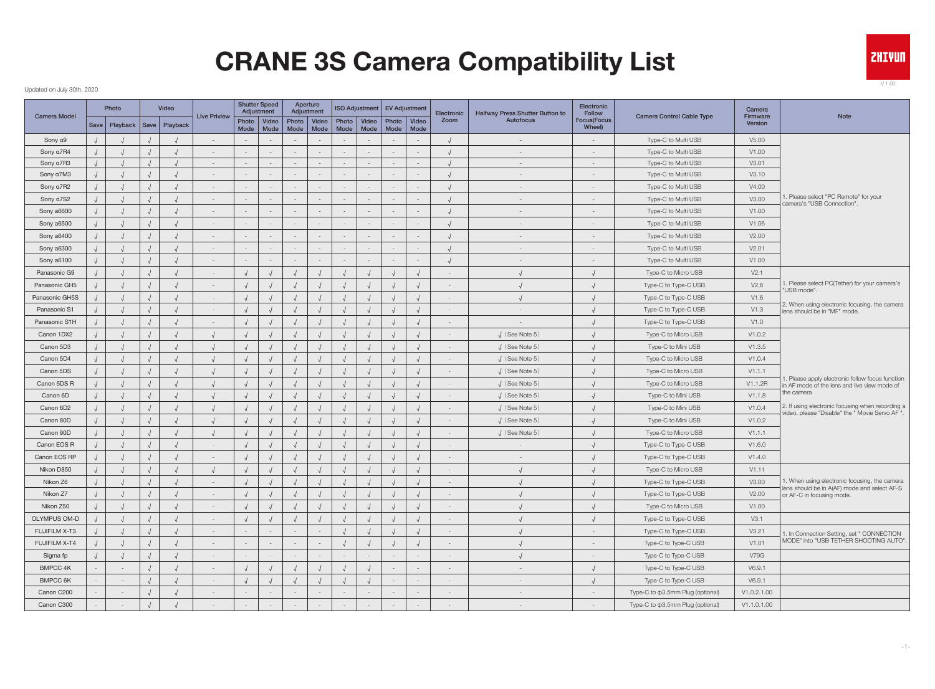### Updated on July 30th, 2020

|                      | Photo                             | Video |                          | <b>Shutter Speed</b><br>Adjustment |               | Aperture<br>Adjustment |                          | <b>ISO Adjustment</b> |                          | <b>EV Adjustment</b>    | Electronic               | Halfway Press Shutter Button to | Electronic<br><b>Follow</b>   |                                        | Camera              |                                                                                                 |
|----------------------|-----------------------------------|-------|--------------------------|------------------------------------|---------------|------------------------|--------------------------|-----------------------|--------------------------|-------------------------|--------------------------|---------------------------------|-------------------------------|----------------------------------------|---------------------|-------------------------------------------------------------------------------------------------|
| <b>Camera Model</b>  | Save   Playback   Save   Playback |       | Live Priview             | Photo   Video<br>Mode   Mode       | Photo<br>Mode | Video<br>Mode          | Photo<br>Mode            | Video<br>Mode         | Mode                     | Photo   Video<br>  Mode | Zoom                     | Autofocus                       | <b>Focus</b> (Focus<br>Wheel) | Camera Control Cable Type              | Firmware<br>Version | Note                                                                                            |
| Sony a9              |                                   |       |                          |                                    |               |                        |                          | $\sim$                |                          |                         |                          |                                 |                               | Type-C to Multi USB                    | V5.00               |                                                                                                 |
| Sony a7R4            |                                   |       | $\sim$                   |                                    |               |                        |                          | $\sim$                | $\sim$                   |                         |                          | $\overline{\phantom{a}}$        | $-$                           | Type-C to Multi USB                    | V1.00               |                                                                                                 |
| Sony a7R3            |                                   |       | $\sim$                   | $\overline{\phantom{a}}$           |               | $\sim$                 | $\sim$                   | $\sim$                | $\sim$                   |                         |                          | $\sim$                          | $\sim$                        | Type-C to Multi USB                    | V3.01               |                                                                                                 |
| Sony a7M3            |                                   |       | $\sim$                   |                                    |               | $\sim$                 | $\sim$                   | $\sim$                | $\sim$                   |                         |                          | $\sim$                          | $\sim$                        | Type-C to Multi USB                    | V3.10               |                                                                                                 |
| Sony a7R2            |                                   |       | $\sim$                   |                                    |               |                        | $\sim$                   | $\sim$                | $\sim$                   |                         |                          | $\overline{\phantom{a}}$        | $\sim$                        | Type-C to Multi USB                    | V4.00               |                                                                                                 |
| Sony a7S2            |                                   |       | $\sim$                   |                                    |               |                        | $\overline{\phantom{a}}$ | $\sim$                | $\sim$                   |                         |                          | $\overline{\phantom{a}}$        | $\sim$                        | Type-C to Multi USB                    | V3.00               | 1. Please select "PC Remote" for your<br>camera's "USB Connection".                             |
| Sony a6600           |                                   |       | $\sim$                   |                                    |               |                        | $\sim$                   | $\sim$                | $\sim$                   |                         |                          | $\overline{\phantom{a}}$        |                               | Type-C to Multi USB                    | V1.00               |                                                                                                 |
| Sony a6500           |                                   |       | $\sim$                   |                                    |               | $-$                    | $\sim$                   | $\sim$                | $\overline{\phantom{a}}$ |                         |                          | $\overline{\phantom{a}}$        |                               | Type-C to Multi USB                    | V1.06               |                                                                                                 |
| Sony a6400           |                                   |       | $\sim$                   | $\overline{\phantom{a}}$           |               | $\sim$                 | $\sim$                   | $\sim$                | $\sim$                   |                         |                          | $\overline{\phantom{a}}$        | $\sim$                        | Type-C to Multi USB                    | V2.00               |                                                                                                 |
| Sony a6300           |                                   |       |                          |                                    |               |                        | $\sim$                   | $\sim$                | $\sim$                   |                         |                          |                                 |                               | Type-C to Multi USB                    | V2.01               |                                                                                                 |
| Sony a6100           |                                   |       | $\sim$                   |                                    |               | $\sim$                 | $\sim$                   | $\sim$                | $\sim$                   |                         |                          | $\overline{\phantom{a}}$        |                               | Type-C to Multi USB                    | V1.00               |                                                                                                 |
| Panasonic G9         |                                   |       | $\sim$                   |                                    |               |                        |                          |                       |                          |                         | $\sim$                   |                                 |                               | Type-C to Micro USB                    | V2.1                |                                                                                                 |
| Panasonic GH5        |                                   |       | $\sim$                   |                                    |               |                        |                          |                       |                          |                         | $\overline{\phantom{a}}$ |                                 |                               | Type-C to Type-C USB                   | V2.6                | Please select PC(Tether) for your camera's                                                      |
| Panasonic GH5S       |                                   |       | $\overline{\phantom{a}}$ |                                    |               |                        |                          |                       |                          |                         |                          |                                 |                               | Type-C to Type-C USB                   | V1.6                | 'USB mode".                                                                                     |
| Panasonic S1         |                                   |       | $\sim$                   |                                    |               |                        |                          |                       |                          |                         | $\sim$                   | $\sim$                          |                               | Type-C to Type-C USB                   | V1.3                | 2. When using electronic focusing, the camera<br>lens should be in "MF" mode.                   |
| Panasonic S1H        |                                   |       | $\sim$                   |                                    |               |                        |                          |                       |                          |                         | $\overline{\phantom{a}}$ |                                 |                               | Type-C to Type-C USB                   | V1.0                |                                                                                                 |
| Canon 1DX2           |                                   |       |                          |                                    |               |                        |                          |                       |                          |                         | $\overline{\phantom{a}}$ | $J$ (See Note 5)                |                               | Type-C to Micro USB                    | V1.0.2              |                                                                                                 |
| Canon 5D3            |                                   |       |                          |                                    |               |                        |                          |                       |                          |                         | $\overline{\phantom{a}}$ | $\sqrt{(}$ (See Note 5)         |                               | Type-C to Mini USB                     | V1.3.5              |                                                                                                 |
| Canon 5D4            |                                   |       |                          |                                    |               |                        |                          |                       |                          |                         |                          | $\sqrt{(}$ (See Note 5)         |                               | Type-C to Micro USB                    | V1.0.4              |                                                                                                 |
| Canon 5DS            |                                   |       |                          |                                    |               |                        |                          |                       |                          |                         | $\overline{\phantom{a}}$ | $\sqrt{(}$ (See Note 5)         |                               | Type-C to Micro USB                    | V1.1.1              |                                                                                                 |
| Canon 5DS R          |                                   |       |                          |                                    |               |                        |                          |                       |                          |                         |                          | $\sqrt{(}$ (See Note 5)         |                               | Type-C to Micro USB                    | V1.1.2R             | . Please apply electronic follow focus function<br>in AF mode of the lens and live view mode of |
| Canon 6D             |                                   |       |                          |                                    |               |                        |                          |                       |                          |                         |                          | $\sqrt{(}$ (See Note 5)         |                               | Type-C to Mini USB                     | V1.1.8              | the camera                                                                                      |
| Canon 6D2            |                                   |       |                          |                                    |               |                        |                          |                       |                          |                         | $\sim$                   | $\sqrt{(}$ (See Note 5)         |                               | Type-C to Mini USB                     | V1.0.4              | 2. If using electronic focusing when recording a                                                |
| Canon 80D            |                                   |       |                          |                                    |               |                        |                          |                       |                          |                         | $\sim$                   | $\sqrt{(}$ (See Note 5)         |                               | Type-C to Mini USB                     | V1.0.2              | video, please "Disable" the " Movie Servo AF ".                                                 |
| Canon 90D            |                                   |       |                          |                                    |               |                        |                          |                       |                          |                         |                          | $\sqrt{(}$ (See Note 5)         |                               | Type-C to Micro USB                    | V1.1.1              |                                                                                                 |
| Canon EOS R          |                                   |       | $\sim$                   |                                    |               |                        |                          |                       |                          |                         | $\sim$                   | $\overline{\phantom{a}}$        |                               | Type-C to Type-C USB                   | V1.6.0              |                                                                                                 |
| Canon EOS RP         |                                   |       | $\sim$                   |                                    |               |                        |                          |                       |                          |                         | $\sim$                   | $\overline{\phantom{a}}$        |                               | Type-C to Type-C USB                   | V1.4.0              |                                                                                                 |
| Nikon D850           |                                   |       |                          |                                    |               |                        |                          |                       |                          |                         |                          |                                 |                               | Type-C to Micro USB                    | V1.11               |                                                                                                 |
| Nikon Z6             |                                   |       |                          |                                    |               |                        |                          |                       |                          |                         |                          |                                 |                               | Type-C to Type-C USB                   | V3.00               | 1. When using electronic focusing, the camera                                                   |
| Nikon Z7             |                                   |       |                          |                                    |               |                        |                          |                       |                          |                         |                          |                                 |                               | Type-C to Type-C USB                   | V2.00               | ens should be in A(AF) mode and select AF-S<br>or AF-C in focusing mode.                        |
| Nikon Z50            |                                   |       | $\sim$                   |                                    |               |                        |                          |                       |                          |                         | $\sim$                   |                                 |                               | Type-C to Micro USB                    | V1.00               |                                                                                                 |
| <b>OLYMPUS OM-D</b>  |                                   |       | $\sim$                   |                                    |               |                        |                          |                       |                          |                         | $\sim$                   |                                 |                               | Type-C to Type-C USB                   | V3.1                |                                                                                                 |
| FUJIFILM X-T3        |                                   |       | $\sim$                   |                                    |               | $\sim$                 |                          |                       |                          |                         | $\sim$                   |                                 | $\sim$                        | Type-C to Type-C USB                   | V3.21               | 1. In Connection Setting, set " CONNECTION                                                      |
| <b>FUJIFILM X-T4</b> |                                   |       | $\sim$                   |                                    |               | $\sim$                 |                          |                       |                          |                         | $\sim$                   |                                 | $\sim$                        | Type-C to Type-C USB                   | V1.01               | MODE" into "USB TETHER SHOOTING AUTO"                                                           |
| Sigma fp             |                                   |       | $\sim$                   |                                    |               |                        | $\sim$                   | $\sim$                | $\sim$                   |                         | $\sim$                   |                                 | $\sim$                        | Type-C to Type-C USB                   | <b>V79G</b>         |                                                                                                 |
| <b>BMPCC 4K</b>      |                                   |       | $\sim$                   |                                    |               |                        |                          |                       | $\sim$                   |                         | $\overline{\phantom{a}}$ | $\sim$                          |                               | Type-C to Type-C USB                   | V6.9.1              |                                                                                                 |
| <b>BMPCC 6K</b>      |                                   |       | $\sim$                   |                                    |               |                        |                          |                       | $\sim$                   |                         | $\sim$                   | $\sim$                          |                               | Type-C to Type-C USB                   | V6.9.1              |                                                                                                 |
| Canon C200           | $\overline{\phantom{a}}$          |       | $\sim$                   |                                    |               |                        | $\sim$                   | $\sim$                | $\sim$                   |                         | $\sim$                   | $\sim$                          | $\sim$                        | Type-C to $\phi$ 3.5mm Plug (optional) | V1.0.2.1.00         |                                                                                                 |
| Canon C300           |                                   |       |                          |                                    |               |                        |                          | $\sim$                | $\sim$                   |                         | $\sim$                   | $\sim$                          | $\sim$                        | Type-C to $\phi$ 3.5mm Plug (optional) | V1.1.0.1.00         |                                                                                                 |
|                      |                                   |       |                          |                                    |               |                        |                          |                       |                          |                         |                          |                                 |                               |                                        |                     |                                                                                                 |



V 1.60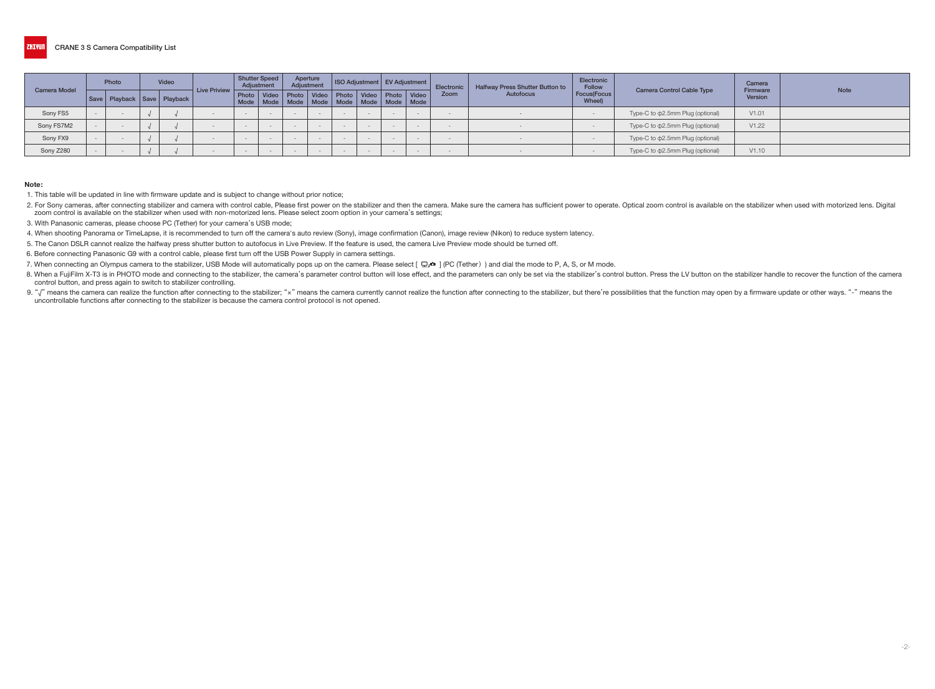|                     | Photo | <b>Video</b> |                                   |                              | Shutter Speed<br>Adjustment |  | Aperture<br>Adjustment |                                                               |  | ISO Adjustment   EV Adjustment |                                                       | Electronic | Halfway Press Shutter Button to | Electronic<br><b>Follow</b> |                                        | Camera<br>Firmware | <b>Note</b> |
|---------------------|-------|--------------|-----------------------------------|------------------------------|-----------------------------|--|------------------------|---------------------------------------------------------------|--|--------------------------------|-------------------------------------------------------|------------|---------------------------------|-----------------------------|----------------------------------------|--------------------|-------------|
| <b>Camera Model</b> |       |              | Save   Playback   Save   Playback | $\vert$ Live Priview $\vert$ |                             |  |                        | Photo   Video   Photo   Video   Photo   Video   Photo   Video |  |                                | Mode   Mode   Mode   Mode   Mode   Mode   Mode   Mode | Zoom       | Focus(Focus<br>Autofocus        |                             | <b>Camera Control Cable Type</b>       | Version            |             |
| Sony FS5            |       |              |                                   |                              |                             |  |                        |                                                               |  |                                | $\sim$                                                |            |                                 |                             | Type-C to $\phi$ 2.5mm Plug (optional) | V1.01              |             |
| Sony FS7M2          |       |              |                                   |                              |                             |  |                        |                                                               |  |                                | No.                                                   |            |                                 |                             | Type-C to $\Phi$ 2.5mm Plug (optional) | V1.22              |             |
| Sony FX9            |       |              |                                   |                              |                             |  |                        |                                                               |  | $\equiv$                       | $\sim$                                                |            |                                 |                             | Type-C to $\phi$ 2.5mm Plug (optional) |                    |             |
| Sony Z280           |       |              |                                   |                              |                             |  |                        |                                                               |  | $\equiv$                       | $\sim$                                                |            |                                 |                             | Type-C to $\phi$ 2.5mm Plug (optional) | V1.10              |             |

#### Note:

1. This table will be updated in line with firmware update and is subject to change without prior notice;

2. For Sony cameras, after connecting stabilizer and camera with control cable, Please first power on the stabilizer and then the camera. Make sure the camera has sufficient power to operate. Optical zoom control is availa zoom control is available on the stabilizer when used with non-motorized lens. Please select zoom option in your camera's settings;

3. With Panasonic cameras, please choose PC (Tether) for your camera's USB mode;

4. When shooting Panorama or TimeLapse, it is recommended to turn off the camera's auto review (Sony), image confirmation (Canon), image review (Nikon) to reduce system latency.

5. The Canon DSLR cannot realize the halfway press shutter button to autofocus in Live Preview. If the feature is used, the camera Live Preview mode should be turned off.

6. Before connecting Panasonic G9 with a control cable, please first turn off the USB Power Supply in camera settings.

7. When connecting an Olympus camera to the stabilizer, USB Mode will automatically pops up on the camera. Please select  $[\Box_{I} \Phi]$  (PC (Tether) and dial the mode to P, A, S, or M mode.

8. When a FujiFilm X-T3 is in PHOTO mode and connecting to the stabilizer, the camera's parameter control button will lose effect, and the parameters can only be set via the stabilizer's control button. Press the LV button control button, and press again to switch to stabilizer controlling.

9. "J" means the camera can realize the function after connecting to the stabilizer; "x" means the camera currently cannot realize the function after connecting to the stabilizer, but there're possibilities that the functi uncontrollable functions after connecting to the stabilizer is because the camera control protocol is not opened.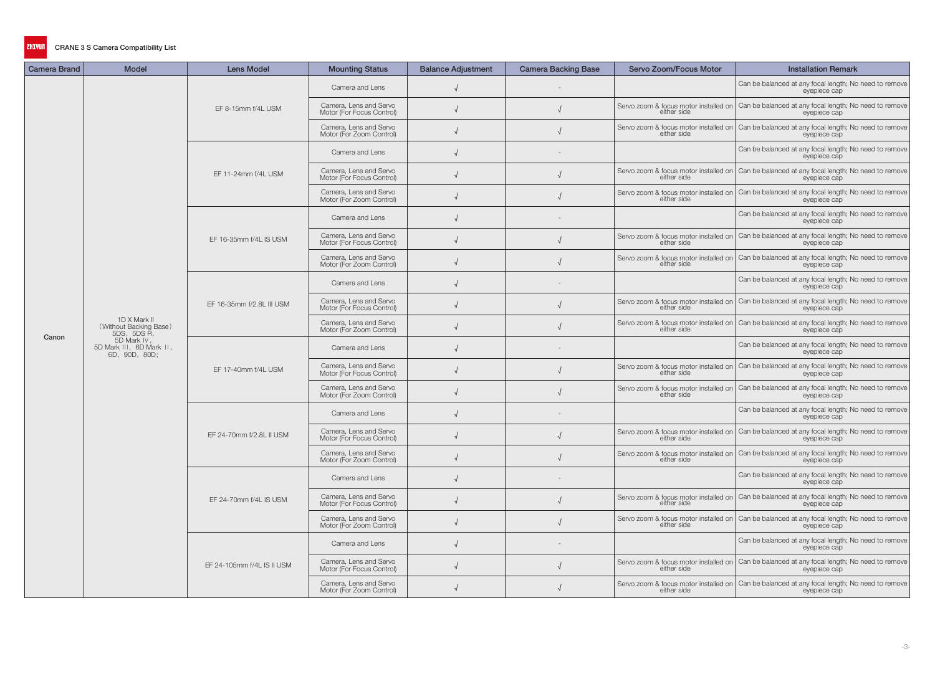| <b>Camera Brand</b> | <b>Model</b>                                             | <b>Lens Model</b>          | <b>Mounting Status</b>                              | <b>Balance Adjustment</b> | <b>Camera Backing Base</b> | Servo Zoom/Focus Motor | <b>Installation Remark</b>                                                                                                                         |
|---------------------|----------------------------------------------------------|----------------------------|-----------------------------------------------------|---------------------------|----------------------------|------------------------|----------------------------------------------------------------------------------------------------------------------------------------------------|
|                     |                                                          |                            | Camera and Lens                                     |                           |                            |                        | Can be balanced at any focal length; No need to remove<br>eyepiece cap                                                                             |
|                     |                                                          | EF 8-15mm f/4L USM         | Camera, Lens and Servo<br>Motor (For Focus Control) |                           |                            | either side            | Servo zoom & focus motor installed on Can be balanced at any focal length; No need to remove<br>eyepiece cap                                       |
|                     |                                                          |                            | Camera, Lens and Servo<br>Motor (For Zoom Control)  |                           |                            | either side            | Servo zoom & focus motor installed on Can be balanced at any focal length; No need to remove<br>eyepiece cap                                       |
|                     |                                                          |                            | Camera and Lens                                     |                           |                            |                        | Can be balanced at any focal length; No need to remove<br>evepiece cap                                                                             |
|                     |                                                          | EF 11-24mm f/4L USM        | Camera, Lens and Servo<br>Motor (For Focus Control) |                           |                            | either side            | Servo zoom & focus motor installed on Can be balanced at any focal length; No need to remove<br>eyepiece cap                                       |
|                     |                                                          |                            | Camera, Lens and Servo<br>Motor (For Zoom Control)  |                           |                            |                        | Servo zoom & focus motor installed on $ \text{Can} \text{ be balanced} \text{ at any focal length; No need to remove either side}$<br>eyepiece cap |
|                     |                                                          |                            | Camera and Lens                                     |                           |                            |                        | Can be balanced at any focal length; No need to remove<br>eyepiece cap                                                                             |
|                     |                                                          | EF 16-35mm f/4L IS USM     | Camera, Lens and Servo<br>Motor (For Focus Control) |                           |                            | either side            | Servo zoom & focus motor installed on Can be balanced at any focal length; No need to remove<br>evepiece cap                                       |
|                     |                                                          |                            | Camera, Lens and Servo<br>Motor (For Zoom Control)  |                           |                            | either side            | Servo zoom & focus motor installed on   Can be balanced at any focal length; No need to remove<br>eyepiece cap                                     |
|                     |                                                          | EF 16-35mm f/2.8L III USM  | Camera and Lens                                     |                           |                            |                        | Can be balanced at any focal length; No need to remove<br>evepiece cap                                                                             |
|                     |                                                          |                            | Camera, Lens and Servo<br>Motor (For Focus Control) |                           |                            | either side            | Servo zoom & focus motor installed on Can be balanced at any focal length; No need to remove<br>eyepiece cap                                       |
| Canon               | 1D X Mark II<br>(Without Backing Base)<br>5DS, 5DS R,    |                            | Camera, Lens and Servo<br>Motor (For Zoom Control)  |                           |                            |                        | Servo zoom & focus motor installed on Can be balanced at any focal length; No need to remove<br>either side                                        |
|                     | 5D Mark IV,<br>5D Mark III, 6D Mark II,<br>6D, 90D, 80D; | EF 17-40mm f/4L USM        | Camera and Lens                                     |                           |                            |                        | Can be balanced at any focal length; No need to remove<br>eyepiece cap                                                                             |
|                     |                                                          |                            | Camera, Lens and Servo<br>Motor (For Focus Control) |                           |                            | either side            | Servo zoom & focus motor installed on Can be balanced at any focal length; No need to remove<br>eyepiece cap                                       |
|                     |                                                          |                            | Camera, Lens and Servo<br>Motor (For Zoom Control)  |                           |                            | either side            | Servo zoom & focus motor installed on Can be balanced at any focal length; No need to remove<br>eyepiece cap                                       |
|                     |                                                          |                            | Camera and Lens                                     |                           |                            |                        | Can be balanced at any focal length; No need to remove<br>eyepiece cap                                                                             |
|                     |                                                          | EF 24-70mm f/2.8L II USM   | Camera, Lens and Servo<br>Motor (For Focus Control) |                           |                            |                        | Servo zoom & focus motor installed on Can be balanced at any focal length; No need to remove<br>either side                                        |
|                     |                                                          |                            | Camera, Lens and Servo<br>Motor (For Zoom Control)  |                           |                            | either side            | Servo zoom & focus motor installed on Can be balanced at any focal length; No need to remove<br>eyepiece cap                                       |
|                     |                                                          |                            | Camera and Lens                                     |                           |                            |                        | Can be balanced at any focal length; No need to remove<br>eyepiece cap                                                                             |
|                     |                                                          | EF 24-70mm f/4L IS USM     | Camera, Lens and Servo<br>Motor (For Focus Control) |                           |                            | either side            | Servo zoom & focus motor installed on Can be balanced at any focal length; No need to remove<br>evepiece cap                                       |
|                     |                                                          |                            | Camera, Lens and Servo<br>Motor (For Zoom Control)  |                           |                            | either side            | Servo zoom & focus motor installed on Can be balanced at any focal length; No need to remove<br>eyepiece cap                                       |
|                     |                                                          | EF 24-105mm f/4L IS II USM | Camera and Lens                                     |                           |                            |                        | Can be balanced at any focal length; No need to remove<br>eyepiece cap                                                                             |
|                     |                                                          |                            | Camera, Lens and Servo<br>Motor (For Focus Control) |                           |                            |                        | Servo zoom & focus motor installed on Can be balanced at any focal length; No need to remove<br>either side<br>exergiece can<br>eyepiece cap       |
|                     |                                                          |                            | Camera, Lens and Servo<br>Motor (For Zoom Control)  |                           |                            | either side            | Servo zoom & focus motor installed on Can be balanced at any focal length; No need to remove<br>eyepiece cap                                       |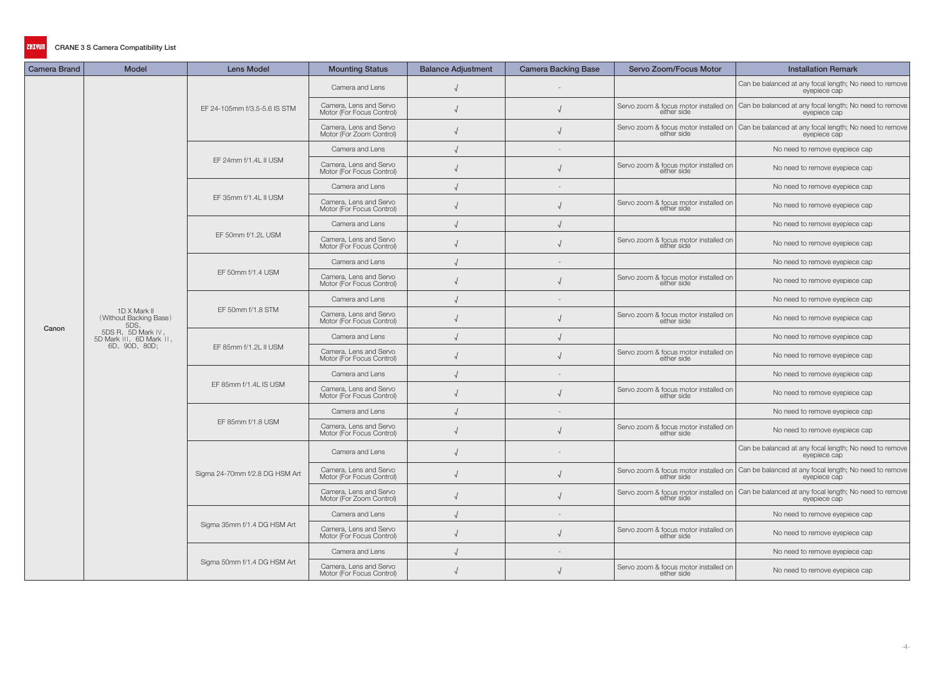| <b>Camera Brand</b> | <b>Model</b>                                   | <b>Lens Model</b>              | <b>Mounting Status</b>                              | <b>Balance Adjustment</b> | <b>Camera Backing Base</b> | Servo Zoom/Focus Motor                               | <b>Installation Remark</b>                                                                                     |
|---------------------|------------------------------------------------|--------------------------------|-----------------------------------------------------|---------------------------|----------------------------|------------------------------------------------------|----------------------------------------------------------------------------------------------------------------|
|                     |                                                |                                | Camera and Lens                                     |                           |                            |                                                      | Can be balanced at any focal length; No need to remove<br>eyepiece cap                                         |
|                     |                                                | EF 24-105mm f/3.5-5.6 IS STM   | Camera, Lens and Servo<br>Motor (For Focus Control) |                           |                            | either side                                          | Servo zoom & focus motor installed on Can be balanced at any focal length; No need to remove<br>eyepiece cap   |
|                     |                                                |                                | Camera, Lens and Servo<br>Motor (For Zoom Control)  |                           |                            | either side                                          | Servo zoom & focus motor installed on Can be balanced at any focal length; No need to remove<br>eyepiece cap   |
|                     |                                                |                                | Camera and Lens                                     |                           |                            |                                                      | No need to remove eyepiece cap                                                                                 |
|                     |                                                | EF 24mm f/1.4L II USM          | Camera, Lens and Servo<br>Motor (For Focus Control) |                           |                            | Servo zoom & focus motor installed on<br>either side | No need to remove eyepiece cap                                                                                 |
|                     |                                                |                                | Camera and Lens                                     |                           |                            |                                                      | No need to remove eyepiece cap                                                                                 |
|                     |                                                | EF 35mm f/1.4L II USM          | Camera, Lens and Servo<br>Motor (For Focus Control) |                           |                            | Servo zoom & focus motor installed on<br>either side | No need to remove eyepiece cap                                                                                 |
|                     |                                                |                                | Camera and Lens                                     |                           |                            |                                                      | No need to remove eyepiece cap                                                                                 |
|                     |                                                | EF 50mm f/1.2L USM             | Camera, Lens and Servo<br>Motor (For Focus Control) |                           |                            | Servo zoom & focus motor installed on<br>either side | No need to remove eyepiece cap                                                                                 |
|                     |                                                |                                | Camera and Lens                                     |                           |                            |                                                      | No need to remove eyepiece cap                                                                                 |
|                     |                                                | EF 50mm f/1.4 USM              | Camera, Lens and Servo<br>Motor (For Focus Control) |                           |                            | Servo zoom & focus motor installed on<br>either side | No need to remove eyepiece cap                                                                                 |
|                     |                                                |                                | Camera and Lens                                     |                           |                            |                                                      | No need to remove eyepiece cap                                                                                 |
| Canon               | 1D X Mark II<br>(Without Backing Base)<br>5DS, | EF 50mm f/1.8 STM              | Camera, Lens and Servo<br>Motor (For Focus Control) |                           |                            | Servo zoom & focus motor installed on<br>either side | No need to remove eyepiece cap                                                                                 |
|                     | 5DS R, 5D Mark IV,<br>5D Mark III, 6D Mark II, | EF 85mm f/1.2L II USM          | Camera and Lens                                     |                           |                            |                                                      | No need to remove eyepiece cap                                                                                 |
|                     | 6D, 90D, 80D;                                  |                                | Camera, Lens and Servo<br>Motor (For Focus Control) |                           |                            | Servo zoom & focus motor installed on<br>either side | No need to remove eyepiece cap                                                                                 |
|                     |                                                |                                | Camera and Lens                                     |                           |                            |                                                      | No need to remove eyepiece cap                                                                                 |
|                     |                                                | EF 85mm f/1.4L IS USM          | Camera, Lens and Servo<br>Motor (For Focus Control) |                           |                            | Servo zoom & focus motor installed on<br>either side | No need to remove eyepiece cap                                                                                 |
|                     |                                                |                                | Camera and Lens                                     |                           |                            |                                                      | No need to remove eyepiece cap                                                                                 |
|                     |                                                | EF 85mm f/1.8 USM              | Camera, Lens and Servo<br>Motor (For Focus Control) |                           |                            | Servo zoom & focus motor installed on<br>either side | No need to remove eyepiece cap                                                                                 |
|                     |                                                |                                | Camera and Lens                                     |                           |                            |                                                      | Can be balanced at any focal length; No need to remove<br>eyepiece cap                                         |
|                     |                                                | Sigma 24-70mm f/2.8 DG HSM Art | Camera, Lens and Servo<br>Motor (For Focus Control) | $\sqrt{ }$                |                            | either side                                          | Servo zoom & focus motor installed on   Can be balanced at any focal length; No need to remove<br>eyepiece cap |
|                     |                                                |                                | Camera, Lens and Servo<br>Motor (For Zoom Control)  |                           |                            | either side                                          | Servo zoom & focus motor installed on Can be balanced at any focal length; No need to remove<br>eyepiece cap   |
|                     |                                                |                                | Camera and Lens                                     |                           |                            |                                                      | No need to remove eyepiece cap                                                                                 |
|                     |                                                | Sigma 35mm f/1.4 DG HSM Art    | Camera, Lens and Servo<br>Motor (For Focus Control) |                           |                            | Servo zoom & focus motor installed on<br>either side | No need to remove eyepiece cap                                                                                 |
|                     |                                                |                                | Camera and Lens                                     |                           |                            |                                                      | No need to remove eyepiece cap                                                                                 |
|                     |                                                | Sigma 50mm f/1.4 DG HSM Art    | Camera, Lens and Servo<br>Motor (For Focus Control) |                           |                            | Servo zoom & focus motor installed on<br>either side | No need to remove eyepiece cap                                                                                 |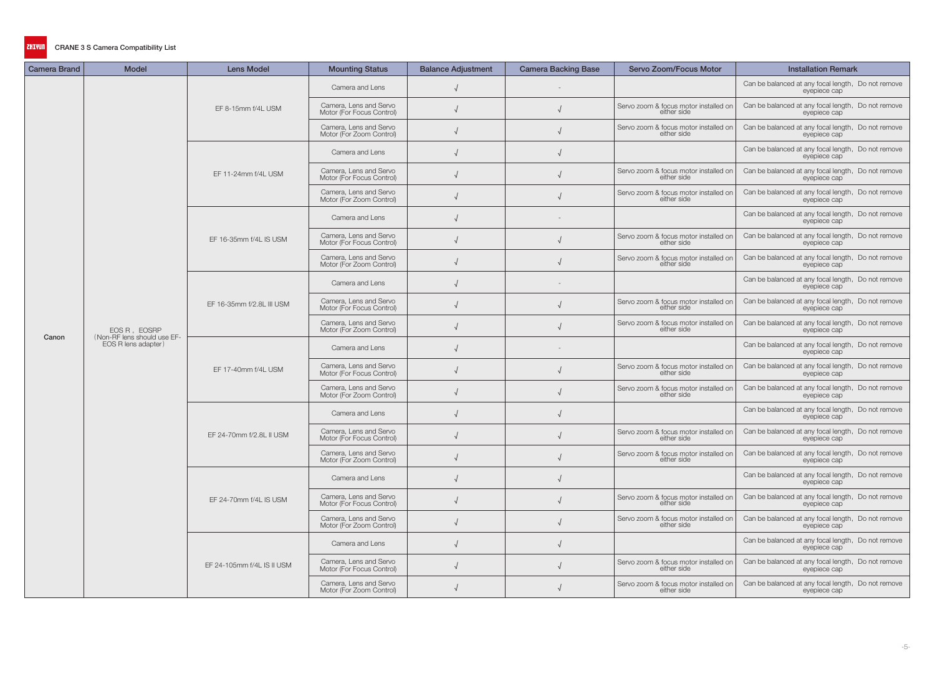| <b>Camera Brand</b> | <b>Model</b>                                       | <b>Lens Model</b>          | <b>Mounting Status</b>                              | <b>Balance Adjustment</b> | <b>Camera Backing Base</b> | Servo Zoom/Focus Motor                               | <b>Installation Remark</b>                                         |
|---------------------|----------------------------------------------------|----------------------------|-----------------------------------------------------|---------------------------|----------------------------|------------------------------------------------------|--------------------------------------------------------------------|
|                     |                                                    |                            | Camera and Lens                                     |                           |                            |                                                      | Can be balanced at any focal length, Do not remove<br>eyepiece cap |
|                     |                                                    | EF 8-15mm f/4L USM         | Camera, Lens and Servo<br>Motor (For Focus Control) |                           |                            | Servo zoom & focus motor installed on<br>either side | Can be balanced at any focal length, Do not remove<br>eyepiece cap |
|                     |                                                    |                            | Camera, Lens and Servo<br>Motor (For Zoom Control)  |                           |                            | Servo zoom & focus motor installed on<br>either side | Can be balanced at any focal length, Do not remove<br>eyepiece cap |
|                     |                                                    |                            | Camera and Lens                                     |                           |                            |                                                      | Can be balanced at any focal length, Do not remove<br>eyepiece cap |
|                     |                                                    | EF 11-24mm f/4L USM        | Camera, Lens and Servo<br>Motor (For Focus Control) |                           |                            | Servo zoom & focus motor installed on<br>either side | Can be balanced at any focal length, Do not remove<br>eyepiece cap |
|                     |                                                    |                            | Camera, Lens and Servo<br>Motor (For Zoom Control)  |                           |                            | Servo zoom & focus motor installed on<br>either side | Can be balanced at any focal length, Do not remove<br>eyepiece cap |
|                     |                                                    |                            | Camera and Lens                                     |                           |                            |                                                      | Can be balanced at any focal length, Do not remove<br>eyepiece cap |
|                     |                                                    | EF 16-35mm f/4L IS USM     | Camera, Lens and Servo<br>Motor (For Focus Control) |                           |                            | Servo zoom & focus motor installed on<br>either side | Can be balanced at any focal length, Do not remove<br>eyepiece cap |
|                     |                                                    |                            | Camera, Lens and Servo<br>Motor (For Zoom Control)  |                           |                            | Servo zoom & focus motor installed on<br>either side | Can be balanced at any focal length, Do not remove<br>eyepiece cap |
|                     |                                                    | EF 16-35mm f/2.8L III USM  | Camera and Lens                                     |                           |                            |                                                      | Can be balanced at any focal length, Do not remove<br>eyepiece cap |
|                     |                                                    |                            | Camera, Lens and Servo<br>Motor (For Focus Control) |                           |                            | Servo zoom & focus motor installed on<br>either side | Can be balanced at any focal length, Do not remove<br>evepiece cap |
|                     | EOS R, EOSRP                                       |                            | Camera, Lens and Servo<br>Motor (For Zoom Control)  |                           |                            | Servo zoom & focus motor installed on<br>either side | Can be balanced at any focal length, Do not remove<br>eyepiece cap |
| Canon               | (Non-RF lens should use EF-<br>EOS R lens adapter) | EF 17-40mm f/4L USM        | Camera and Lens                                     |                           |                            |                                                      | Can be balanced at any focal length, Do not remove<br>eyepiece cap |
|                     |                                                    |                            | Camera, Lens and Servo<br>Motor (For Focus Control) |                           |                            | Servo zoom & focus motor installed on<br>either side | Can be balanced at any focal length, Do not remove<br>eyepiece cap |
|                     |                                                    |                            | Camera, Lens and Servo<br>Motor (For Zoom Control)  |                           |                            | Servo zoom & focus motor installed on<br>either side | Can be balanced at any focal length, Do not remove<br>eyepiece cap |
|                     |                                                    |                            | Camera and Lens                                     |                           |                            |                                                      | Can be balanced at any focal length, Do not remove<br>eyepiece cap |
|                     |                                                    | EF 24-70mm f/2.8L II USM   | Camera, Lens and Servo<br>Motor (For Focus Control) |                           |                            | Servo zoom & focus motor installed on<br>either side | Can be balanced at any focal length, Do not remove<br>eyepiece cap |
|                     |                                                    |                            | Camera, Lens and Servo<br>Motor (For Zoom Control)  |                           |                            | Servo zoom & focus motor installed on<br>either side | Can be balanced at any focal length, Do not remove<br>eyepiece cap |
|                     |                                                    |                            | Camera and Lens                                     |                           |                            |                                                      | Can be balanced at any focal length, Do not remove<br>eyepiece cap |
|                     |                                                    | EF 24-70mm f/4L IS USM     | Camera, Lens and Servo<br>Motor (For Focus Control) |                           |                            | Servo zoom & focus motor installed on<br>either side | Can be balanced at any focal length, Do not remove<br>eyepiece cap |
|                     |                                                    |                            | Camera, Lens and Servo<br>Motor (For Zoom Control)  |                           |                            | Servo zoom & focus motor installed on<br>either side | Can be balanced at any focal length, Do not remove<br>eyepiece cap |
|                     |                                                    |                            | Camera and Lens                                     |                           |                            |                                                      | Can be balanced at any focal length, Do not remove<br>eyepiece cap |
|                     |                                                    | EF 24-105mm f/4L IS II USM | Camera, Lens and Servo<br>Motor (For Focus Control) |                           |                            | Servo zoom & focus motor installed on<br>either side | Can be balanced at any focal length, Do not remove<br>eyepiece cap |
|                     |                                                    |                            | Camera, Lens and Servo<br>Motor (For Zoom Control)  |                           |                            | Servo zoom & focus motor installed on<br>either side | Can be balanced at any focal length, Do not remove<br>eyepiece cap |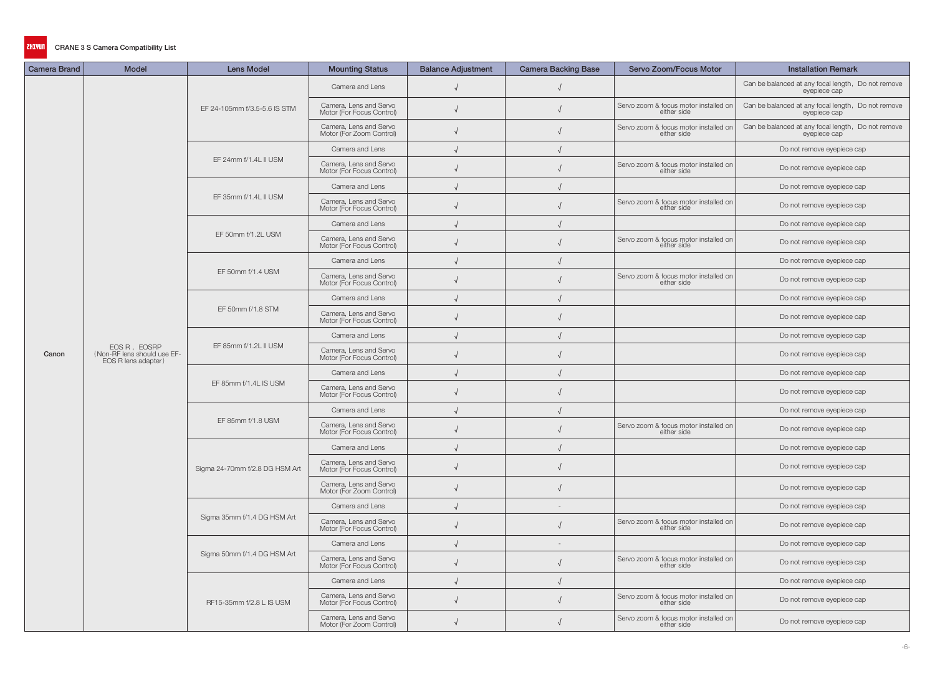| <b>Camera Brand</b> | <b>Model</b>                                                       | <b>Lens Model</b>              | <b>Mounting Status</b>                              | <b>Balance Adjustment</b> | <b>Camera Backing Base</b> | Servo Zoom/Focus Motor                               | <b>Installation Remark</b>                                         |
|---------------------|--------------------------------------------------------------------|--------------------------------|-----------------------------------------------------|---------------------------|----------------------------|------------------------------------------------------|--------------------------------------------------------------------|
|                     |                                                                    |                                | Camera and Lens                                     |                           |                            |                                                      | Can be balanced at any focal length, Do not remove<br>eyepiece cap |
|                     |                                                                    | EF 24-105mm f/3.5-5.6 IS STM   | Camera, Lens and Servo<br>Motor (For Focus Control) |                           |                            | Servo zoom & focus motor installed on<br>either side | Can be balanced at any focal length, Do not remove<br>eyepiece cap |
|                     |                                                                    |                                | Camera, Lens and Servo<br>Motor (For Zoom Control)  |                           |                            | Servo zoom & focus motor installed on<br>either side | Can be balanced at any focal length, Do not remove<br>eyepiece cap |
|                     |                                                                    |                                | Camera and Lens                                     |                           |                            |                                                      | Do not remove eyepiece cap                                         |
|                     |                                                                    | EF 24mm f/1.4L II USM          | Camera, Lens and Servo<br>Motor (For Focus Control) |                           |                            | Servo zoom & focus motor installed on<br>either side | Do not remove eyepiece cap                                         |
|                     |                                                                    |                                | Camera and Lens                                     |                           |                            |                                                      | Do not remove eyepiece cap                                         |
|                     |                                                                    | EF 35mm f/1.4L II USM          | Camera, Lens and Servo<br>Motor (For Focus Control) |                           |                            | Servo zoom & focus motor installed on<br>either side | Do not remove eyepiece cap                                         |
|                     |                                                                    |                                | Camera and Lens                                     |                           |                            |                                                      | Do not remove eyepiece cap                                         |
|                     |                                                                    | EF 50mm f/1.2L USM             | Camera, Lens and Servo<br>Motor (For Focus Control) |                           |                            | Servo zoom & focus motor installed on<br>either side | Do not remove eyepiece cap                                         |
|                     |                                                                    |                                | Camera and Lens                                     |                           |                            |                                                      | Do not remove eyepiece cap                                         |
|                     |                                                                    | EF 50mm f/1.4 USM              | Camera, Lens and Servo<br>Motor (For Focus Control) |                           |                            | Servo zoom & focus motor installed on<br>either side | Do not remove eyepiece cap                                         |
|                     |                                                                    | EF 50mm f/1.8 STM              | Camera and Lens                                     |                           |                            |                                                      | Do not remove eyepiece cap                                         |
|                     |                                                                    |                                | Camera, Lens and Servo<br>Motor (For Focus Control) |                           |                            |                                                      | Do not remove eyepiece cap                                         |
|                     |                                                                    |                                | Camera and Lens                                     |                           |                            |                                                      | Do not remove eyepiece cap                                         |
| Canon               | EOS R, EOSRP<br>(Non-RF lens should use EF-<br>EOS R lens adapter) | EF 85mm f/1.2L II USM          | Camera, Lens and Servo<br>Motor (For Focus Control) |                           |                            |                                                      | Do not remove eyepiece cap                                         |
|                     |                                                                    |                                | Camera and Lens                                     |                           |                            |                                                      | Do not remove eyepiece cap                                         |
|                     |                                                                    | EF 85mm f/1.4L IS USM          | Camera, Lens and Servo<br>Motor (For Focus Control) |                           |                            |                                                      | Do not remove eyepiece cap                                         |
|                     |                                                                    |                                | Camera and Lens                                     |                           |                            |                                                      | Do not remove eyepiece cap                                         |
|                     |                                                                    | EF 85mm f/1.8 USM              | Camera, Lens and Servo<br>Motor (For Focus Control) |                           |                            | Servo zoom & focus motor installed on<br>either side | Do not remove eyepiece cap                                         |
|                     |                                                                    |                                | Camera and Lens                                     |                           |                            |                                                      | Do not remove eyepiece cap                                         |
|                     |                                                                    | Sigma 24-70mm f/2.8 DG HSM Art | Camera, Lens and Servo<br>Motor (For Focus Control) |                           |                            |                                                      | Do not remove eyepiece cap                                         |
|                     |                                                                    |                                | Camera, Lens and Servo<br>Motor (For Zoom Control)  |                           |                            |                                                      | Do not remove eyepiece cap                                         |
|                     |                                                                    |                                | Camera and Lens                                     |                           | $-$                        |                                                      | Do not remove eyepiece cap                                         |
|                     |                                                                    | Sigma 35mm f/1.4 DG HSM Art    | Camera, Lens and Servo<br>Motor (For Focus Control) |                           |                            | Servo zoom & focus motor installed on<br>either side | Do not remove eyepiece cap                                         |
|                     |                                                                    |                                | Camera and Lens                                     |                           |                            |                                                      | Do not remove eyepiece cap                                         |
|                     |                                                                    | Sigma 50mm f/1.4 DG HSM Art    | Camera, Lens and Servo<br>Motor (For Focus Control) |                           |                            | Servo zoom & focus motor installed on<br>either side | Do not remove eyepiece cap                                         |
|                     |                                                                    |                                | Camera and Lens                                     |                           |                            |                                                      | Do not remove eyepiece cap                                         |
|                     |                                                                    | RF15-35mm f/2.8 L IS USM       | Camera, Lens and Servo<br>Motor (For Focus Control) |                           |                            | Servo zoom & focus motor installed on<br>either side | Do not remove eyepiece cap                                         |
|                     |                                                                    |                                | Camera, Lens and Servo<br>Motor (For Zoom Control)  |                           |                            | Servo zoom & focus motor installed on<br>either side | Do not remove eyepiece cap                                         |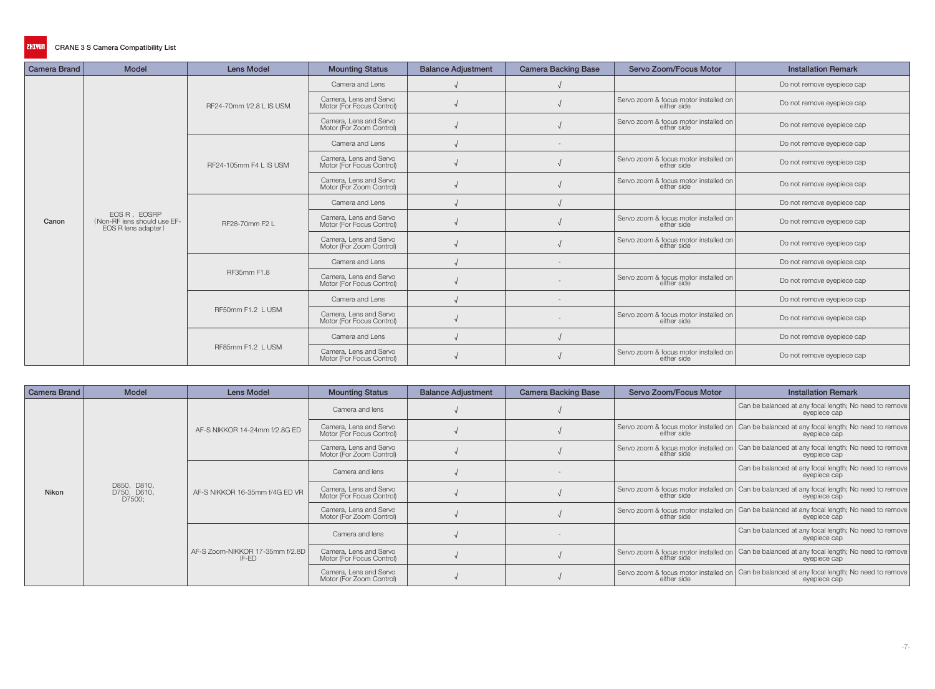| <b>Camera Brand</b> | <b>Model</b>                                                       | <b>Lens Model</b>        | <b>Mounting Status</b>                              | <b>Balance Adjustment</b> | <b>Camera Backing Base</b> | Servo Zoom/Focus Motor                               | <b>Installation Remark</b> |
|---------------------|--------------------------------------------------------------------|--------------------------|-----------------------------------------------------|---------------------------|----------------------------|------------------------------------------------------|----------------------------|
|                     |                                                                    |                          | Camera and Lens                                     |                           |                            |                                                      | Do not remove eyepiece cap |
|                     |                                                                    | RF24-70mm f/2.8 L IS USM | Camera, Lens and Servo<br>Motor (For Focus Control) |                           |                            | Servo zoom & focus motor installed on<br>either side | Do not remove eyepiece cap |
|                     |                                                                    |                          | Camera, Lens and Servo<br>Motor (For Zoom Control)  |                           |                            | Servo zoom & focus motor installed on<br>either side | Do not remove eyepiece cap |
|                     |                                                                    |                          | Camera and Lens                                     |                           |                            |                                                      | Do not remove eyepiece cap |
|                     |                                                                    | RF24-105mm F4 L IS USM   | Camera, Lens and Servo<br>Motor (For Focus Control) |                           |                            | Servo zoom & focus motor installed on<br>either side | Do not remove eyepiece cap |
|                     |                                                                    |                          | Camera, Lens and Servo<br>Motor (For Zoom Control)  |                           |                            | Servo zoom & focus motor installed on<br>either side | Do not remove eyepiece cap |
|                     |                                                                    |                          | Camera and Lens                                     |                           |                            |                                                      | Do not remove eyepiece cap |
| Canon               | EOS R, EOSRP<br>(Non-RF lens should use EF-<br>EOS R lens adapter) | RF28-70mm F2 L           | Camera, Lens and Servo<br>Motor (For Focus Control) |                           |                            | Servo zoom & focus motor installed on<br>either side | Do not remove eyepiece cap |
|                     |                                                                    |                          | Camera, Lens and Servo<br>Motor (For Zoom Control)  |                           |                            | Servo zoom & focus motor installed on<br>either side | Do not remove eyepiece cap |
|                     |                                                                    |                          | Camera and Lens                                     |                           |                            |                                                      | Do not remove eyepiece cap |
|                     |                                                                    | RF35mm F1.8              | Camera, Lens and Servo<br>Motor (For Focus Control) |                           |                            | Servo zoom & focus motor installed on<br>either side | Do not remove eyepiece cap |
|                     |                                                                    |                          | Camera and Lens                                     |                           |                            |                                                      | Do not remove eyepiece cap |
|                     |                                                                    | RF50mm F1.2 L USM        | Camera, Lens and Servo<br>Motor (For Focus Control) |                           |                            | Servo zoom & focus motor installed on<br>either side | Do not remove eyepiece cap |
|                     |                                                                    |                          | Camera and Lens                                     |                           |                            |                                                      | Do not remove eyepiece cap |
|                     |                                                                    | RF85mm F1.2 L USM        | Camera, Lens and Servo<br>Motor (For Focus Control) |                           |                            | Servo zoom & focus motor installed on<br>either side | Do not remove eyepiece cap |

| <b>Camera Brand</b> | <b>Model</b>                         | <b>Lens Model</b>                        | <b>Mounting Status</b>                              | <b>Balance Adjustment</b> | <b>Camera Backing Base</b> | <b>Servo Zoom/Focus Motor</b> | <b>Installation Remark</b>                                                                                               |
|---------------------|--------------------------------------|------------------------------------------|-----------------------------------------------------|---------------------------|----------------------------|-------------------------------|--------------------------------------------------------------------------------------------------------------------------|
|                     |                                      |                                          | Camera and lens                                     |                           |                            |                               | Can be balanced at any focal length; No need to remove<br>eyepiece cap                                                   |
|                     |                                      | AF-S NIKKOR 14-24mm f/2.8G ED            | Camera, Lens and Servo<br>Motor (For Focus Control) |                           |                            | either side                   | Servo zoom & focus motor installed on   Can be balanced at any focal length; No need to remove<br>eyepiece cap           |
|                     |                                      |                                          | Camera, Lens and Servo<br>Motor (For Zoom Control)  |                           |                            | either side                   | Servo zoom & focus motor installed on   Can be balanced at any focal length; No need to remove<br>eyepiece cap           |
|                     | D850, D810,<br>D750, D610,<br>D7500; | AF-S NIKKOR 16-35mm f/4G ED VR           | Camera and lens                                     |                           |                            |                               | Can be balanced at any focal length; No need to remove<br>eyepiece cap                                                   |
| <b>Nikon</b>        |                                      |                                          | Camera, Lens and Servo<br>Motor (For Focus Control) |                           |                            | either side                   | Servo zoom & focus motor installed on   Can be balanced at any focal length; No need to remove<br>eyepiece cap           |
|                     |                                      |                                          | Camera, Lens and Servo<br>Motor (For Zoom Control)  |                           |                            | either side                   | Servo zoom & focus motor installed on   Can be balanced at any focal length; No need to remove  <br>eyepiece cap         |
|                     |                                      |                                          | Camera and lens                                     |                           |                            |                               | Can be balanced at any focal length; No need to remove<br>eyepiece cap                                                   |
|                     |                                      | AF-S Zoom-NIKKOR 17-35mm f/2.8D<br>IF-ED | Camera, Lens and Servo<br>Motor (For Focus Control) |                           |                            | either side                   | Servo zoom & focus motor installed on   Can be balanced at any focal length; No need to remove  <br>eyepiece cap         |
|                     |                                      |                                          | Camera, Lens and Servo<br>Motor (For Zoom Control)  |                           |                            |                               | Servo zoom & focus motor installed on Can be balanced at any focal length; No need to remove either side<br>eyepiece cap |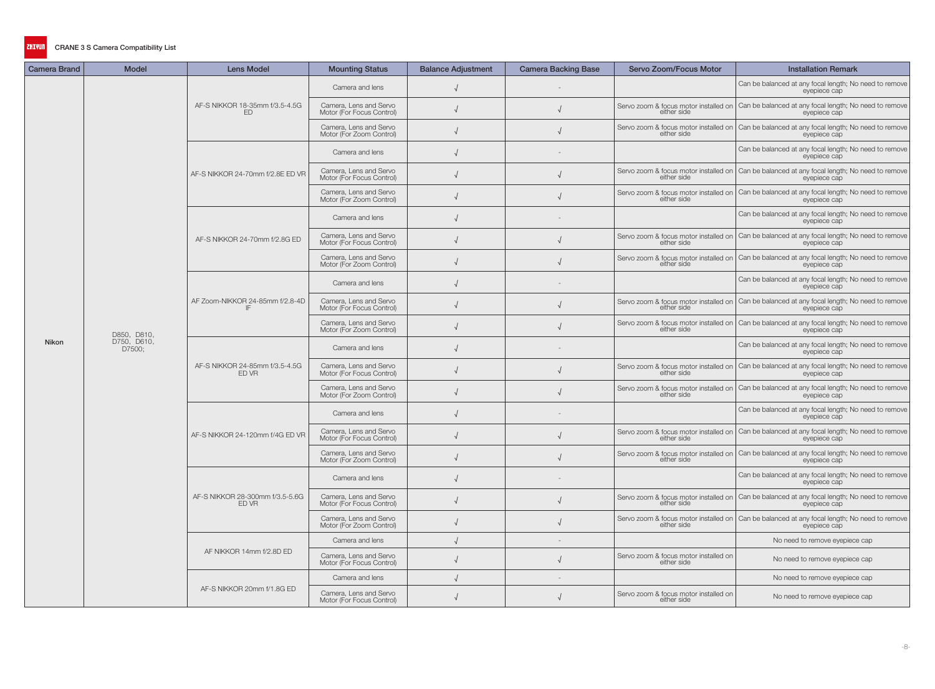| <b>Camera Brand</b> | <b>Model</b>                         | <b>Lens Model</b>                        | <b>Mounting Status</b>                              | <b>Balance Adjustment</b> | <b>Camera Backing Base</b> | Servo Zoom/Focus Motor                               | <b>Installation Remark</b>                                                                                                   |
|---------------------|--------------------------------------|------------------------------------------|-----------------------------------------------------|---------------------------|----------------------------|------------------------------------------------------|------------------------------------------------------------------------------------------------------------------------------|
|                     |                                      |                                          | Camera and lens                                     |                           |                            |                                                      | Can be balanced at any focal length; No need to remove<br>eyepiece cap                                                       |
|                     |                                      | AF-S NIKKOR 18-35mm f/3.5-4.5G<br>ED     | Camera, Lens and Servo<br>Motor (For Focus Control) |                           |                            | either side                                          | Servo zoom & focus motor installed on   Can be balanced at any focal length; No need to remove<br>eyepiece cap               |
|                     |                                      |                                          | Camera, Lens and Servo<br>Motor (For Zoom Control)  |                           |                            | either side                                          | Servo zoom & focus motor installed on   Can be balanced at any focal length; No need to remove<br>eyepiece cap               |
|                     |                                      |                                          | Camera and lens                                     |                           |                            |                                                      | Can be balanced at any focal length; No need to remove<br>eyepiece cap                                                       |
|                     |                                      | AF-S NIKKOR 24-70mm f/2.8E ED VR         | Camera, Lens and Servo<br>Motor (For Focus Control) |                           |                            | either side                                          | Servo zoom & focus motor installed on Can be balanced at any focal length; No need to remove<br>evepiece cap                 |
|                     |                                      |                                          | Camera, Lens and Servo<br>Motor (For Zoom Control)  |                           |                            |                                                      | Servo zoom & focus motor installed on Can be balanced at any focal length; No need to remove<br>either side<br>eveniece can  |
|                     |                                      |                                          | Camera and lens                                     |                           |                            |                                                      | Can be balanced at any focal length; No need to remove<br>eyepiece cap                                                       |
|                     |                                      | AF-S NIKKOR 24-70mm f/2.8G ED            | Camera, Lens and Servo<br>Motor (For Focus Control) |                           |                            | either side                                          | Servo zoom & focus motor installed on Can be balanced at any focal length; No need to remove<br>evepiece cap                 |
|                     |                                      |                                          | Camera, Lens and Servo<br>Motor (For Zoom Control)  |                           |                            | either side                                          | Servo zoom & focus motor installed on   Can be balanced at any focal length; No need to remove<br>eyepiece cap               |
|                     |                                      |                                          | Camera and lens                                     |                           |                            |                                                      | Can be balanced at any focal length; No need to remove<br>eyepiece cap                                                       |
|                     | D850, D810,<br>D750, D610,<br>D7500; | AF Zoom-NIKKOR 24-85mm f/2.8-4D          | Camera, Lens and Servo<br>Motor (For Focus Control) |                           |                            | either side                                          | Servo zoom & focus motor installed on   Can be balanced at any focal length; No need to remove<br>eyepiece cap               |
|                     |                                      |                                          | Camera, Lens and Servo<br>Motor (For Zoom Control)  |                           |                            | either side                                          | Servo zoom & focus motor installed on Can be balanced at any focal length; No need to remove<br>eyepiece cap                 |
| Nikon               |                                      | AF-S NIKKOR 24-85mm f/3.5-4.5G<br>ED VR  | Camera and lens                                     |                           |                            |                                                      | Can be balanced at any focal length; No need to remove<br>eyepiece cap                                                       |
|                     |                                      |                                          | Camera, Lens and Servo<br>Motor (For Focus Control) |                           |                            | either side                                          | Servo zoom & focus motor installed on Can be balanced at any focal length; No need to remove<br>eyepiece cap                 |
|                     |                                      |                                          | Camera, Lens and Servo<br>Motor (For Zoom Control)  |                           |                            | either side                                          | Servo zoom & focus motor installed on Can be balanced at any focal length; No need to remove<br>eyepiece cap                 |
|                     |                                      |                                          | Camera and lens                                     |                           |                            |                                                      | Can be balanced at any focal length; No need to remove<br>eyepiece cap                                                       |
|                     |                                      | AF-S NIKKOR 24-120mm f/4G ED VR          | Camera, Lens and Servo<br>Motor (For Focus Control) |                           |                            |                                                      | Servo zoom & focus motor installed on Can be balanced at any focal length; No need to remove<br>either side<br>exercises can |
|                     |                                      |                                          | Camera, Lens and Servo<br>Motor (For Zoom Control)  |                           |                            | either side                                          | Servo zoom & focus motor installed on Can be balanced at any focal length; No need to remove<br>eyepiece cap                 |
|                     |                                      |                                          | Camera and lens                                     |                           |                            |                                                      | Can be balanced at any focal length; No need to remove<br>evepiece cap                                                       |
|                     |                                      | AF-S NIKKOR 28-300mm f/3.5-5.6G<br>ED VR | Camera, Lens and Servo<br>Motor (For Focus Control) |                           |                            | either side                                          | Servo zoom & focus motor installed on   Can be balanced at any focal length; No need to remove<br>eyepiece cap               |
|                     |                                      |                                          | Camera, Lens and Servo<br>Motor (For Zoom Control)  |                           |                            | either side                                          | Servo zoom & focus motor installed on Can be balanced at any focal length; No need to remove<br>eyepiece cap                 |
|                     |                                      |                                          | Camera and lens                                     |                           |                            |                                                      | No need to remove eyepiece cap                                                                                               |
|                     |                                      | AF NIKKOR 14mm f/2.8D ED                 | Camera, Lens and Servo<br>Motor (For Focus Control) |                           |                            | Servo zoom & focus motor installed on<br>either side | No need to remove eyepiece cap                                                                                               |
|                     |                                      | AF-S NIKKOR 20mm f/1.8G ED               | Camera and lens                                     |                           |                            |                                                      | No need to remove eyepiece cap                                                                                               |
|                     |                                      |                                          | Camera, Lens and Servo<br>Motor (For Focus Control) |                           |                            | Servo zoom & focus motor installed on<br>either side | No need to remove eyepiece cap                                                                                               |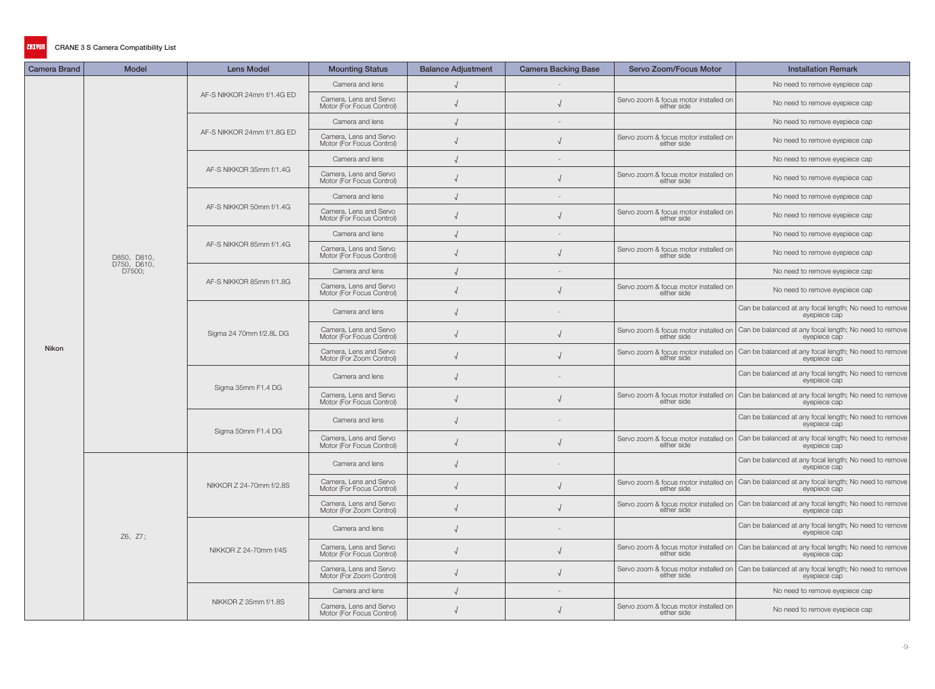| <b>Camera Brand</b> | <b>Model</b>               | <b>Lens Model</b>          | <b>Mounting Status</b>                              | <b>Balance Adjustment</b> | <b>Camera Backing Base</b> | Servo Zoom/Focus Motor                               | <b>Installation Remark</b>                                                                                                                  |
|---------------------|----------------------------|----------------------------|-----------------------------------------------------|---------------------------|----------------------------|------------------------------------------------------|---------------------------------------------------------------------------------------------------------------------------------------------|
|                     |                            |                            | Camera and lens                                     |                           |                            |                                                      | No need to remove eyepiece cap                                                                                                              |
|                     |                            | AF-S NIKKOR 24mm f/1.4G ED | Camera, Lens and Servo<br>Motor (For Focus Control) |                           |                            | Servo zoom & focus motor installed on<br>either side | No need to remove eyepiece cap                                                                                                              |
|                     |                            |                            | Camera and lens                                     |                           |                            |                                                      | No need to remove eyepiece cap                                                                                                              |
|                     |                            | AF-S NIKKOR 24mm f/1.8G ED | Camera, Lens and Servo<br>Motor (For Focus Control) |                           |                            | Servo zoom & focus motor installed on<br>either side | No need to remove eyepiece cap                                                                                                              |
|                     |                            |                            | Camera and lens                                     |                           |                            |                                                      | No need to remove eyepiece cap                                                                                                              |
|                     |                            | AF-S NIKKOR 35mm f/1.4G    | Camera, Lens and Servo<br>Motor (For Focus Control) |                           |                            | Servo zoom & focus motor installed on<br>either side | No need to remove eyepiece cap                                                                                                              |
|                     |                            |                            | Camera and lens                                     |                           |                            |                                                      | No need to remove eyepiece cap                                                                                                              |
|                     |                            | AF-S NIKKOR 50mm f/1.4G    | Camera, Lens and Servo<br>Motor (For Focus Control) |                           |                            | Servo zoom & focus motor installed on<br>either side | No need to remove eyepiece cap                                                                                                              |
|                     |                            |                            | Camera and lens                                     |                           |                            |                                                      | No need to remove eyepiece cap                                                                                                              |
|                     | D850, D810,<br>D750, D610, | AF-S NIKKOR 85mm f/1.4G    | Camera, Lens and Servo<br>Motor (For Focus Control) |                           |                            | Servo zoom & focus motor installed on<br>either side | No need to remove eyepiece cap                                                                                                              |
|                     | D7500;                     |                            | Camera and lens                                     |                           |                            |                                                      | No need to remove eyepiece cap                                                                                                              |
|                     |                            | AF-S NIKKOR 85mm f/1.8G    | Camera, Lens and Servo<br>Motor (For Focus Control) |                           |                            | Servo zoom & focus motor installed on<br>either side | No need to remove eyepiece cap                                                                                                              |
|                     |                            | Sigma 24 70mm f/2.8L DG    | Camera and lens                                     |                           |                            |                                                      | Can be balanced at any focal length; No need to remove<br>eyepiece cap                                                                      |
|                     |                            |                            | Camera, Lens and Servo<br>Motor (For Focus Control) |                           |                            | either side                                          | Servo zoom & focus motor installed on Can be balanced at any focal length; No need to remove<br>eyepiece cap                                |
| Nikon               |                            |                            | Camera, Lens and Servo<br>Motor (For Zoom Control)  |                           |                            | either side                                          | Servo zoom & focus motor installed on   Can be balanced at any focal length; No need to remove<br>eyepiece cap                              |
|                     |                            | Sigma 35mm F1.4 DG         | Camera and lens                                     |                           |                            |                                                      | Can be balanced at any focal length; No need to remove<br>eyepiece cap                                                                      |
|                     |                            |                            | Camera, Lens and Servo<br>Motor (For Focus Control) |                           |                            |                                                      | Servo zoom & focus motor installed on Can be balanced at any focal length; No need to remove<br>either side<br>eveniece can                 |
|                     |                            | Sigma 50mm F1.4 DG         | Camera and lens                                     |                           |                            |                                                      | Can be balanced at any focal length; No need to remove<br>eyepiece cap                                                                      |
|                     |                            |                            | Camera, Lens and Servo<br>Motor (For Focus Control) |                           |                            | either side                                          | Servo zoom & focus motor installed on Can be balanced at any focal length; No need to remove<br>eyepiece cap                                |
|                     |                            |                            | Camera and lens                                     |                           |                            |                                                      | Can be balanced at any focal length; No need to remove<br>eyepiece cap                                                                      |
|                     |                            | NIKKOR Z 24-70mm f/2.8S    | Camera, Lens and Servo<br>Motor (For Focus Control) |                           |                            | either side                                          | Servo zoom & focus motor installed on   Can be balanced at any focal length; No need to remove<br>eyepiece cap                              |
|                     |                            |                            | Camera, Lens and Servo<br>Motor (For Zoom Control)  |                           |                            |                                                      | Servo zoom & focus motor installed on Can be balanced at any focal length; No need to remove<br>either side<br>eveniece can<br>eyepiece cap |
|                     | Z6, Z7;                    |                            | Camera and lens                                     |                           |                            |                                                      | Can be balanced at any focal length; No need to remove<br>eyepiece cap                                                                      |
|                     |                            | NIKKOR Z 24-70mm f/4S      | Camera, Lens and Servo<br>Motor (For Focus Control) |                           |                            | either side                                          | Servo zoom & focus motor installed on   Can be balanced at any focal length; No need to remove<br>eyepiece cap                              |
|                     |                            |                            | Camera, Lens and Servo<br>Motor (For Zoom Control)  |                           |                            | either side                                          | Servo zoom & focus motor installed on Can be balanced at any focal length; No need to remove<br>eyepiece cap                                |
|                     |                            |                            | Camera and lens                                     |                           |                            |                                                      | No need to remove eyepiece cap                                                                                                              |
|                     |                            | NIKKOR Z 35mm f/1.8S       | Camera, Lens and Servo<br>Motor (For Focus Control) |                           |                            | Servo zoom & focus motor installed on<br>either side | No need to remove eyepiece cap                                                                                                              |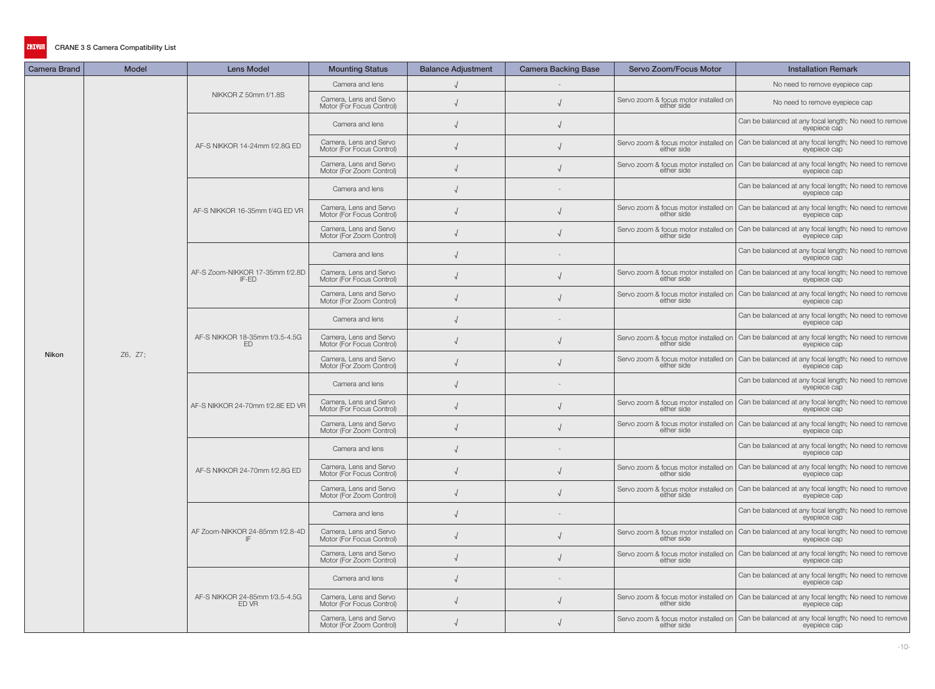| Camera Brand | <b>Model</b> | <b>Lens Model</b>                        | <b>Mounting Status</b>                              | <b>Balance Adjustment</b> | <b>Camera Backing Base</b> | Servo Zoom/Focus Motor                               | <b>Installation Remark</b>                                                                                                  |
|--------------|--------------|------------------------------------------|-----------------------------------------------------|---------------------------|----------------------------|------------------------------------------------------|-----------------------------------------------------------------------------------------------------------------------------|
|              |              |                                          | Camera and lens                                     |                           |                            |                                                      | No need to remove eyepiece cap                                                                                              |
|              |              | NIKKOR Z 50mm f/1.8S                     | Camera, Lens and Servo<br>Motor (For Focus Control) |                           |                            | Servo zoom & focus motor installed on<br>either side | No need to remove eyepiece cap                                                                                              |
|              |              |                                          | Camera and lens                                     |                           |                            |                                                      | Can be balanced at any focal length; No need to remove<br>eyepiece cap                                                      |
|              |              | AF-S NIKKOR 14-24mm f/2.8G ED            | Camera, Lens and Servo<br>Motor (For Focus Control) |                           |                            | either side                                          | Servo zoom & focus motor installed on Can be balanced at any focal length; No need to remove<br>eyepiece cap                |
|              |              |                                          | Camera, Lens and Servo<br>Motor (For Zoom Control)  |                           |                            | either side                                          | Servo zoom & focus motor installed on   Can be balanced at any focal length; No need to remove<br>evepiece cap              |
|              |              |                                          | Camera and lens                                     |                           |                            |                                                      | Can be balanced at any focal length; No need to remove<br>eyepiece cap                                                      |
|              |              | AF-S NIKKOR 16-35mm f/4G ED VR           | Camera, Lens and Servo<br>Motor (For Focus Control) |                           |                            | either side                                          | Servo zoom & focus motor installed on Can be balanced at any focal length; No need to remove<br>eyepiece cap                |
|              |              |                                          | Camera, Lens and Servo<br>Motor (For Zoom Control)  |                           |                            | either side                                          | Servo zoom & focus motor installed on   Can be balanced at any focal length; No need to remove<br>eyepiece cap              |
|              |              |                                          | Camera and lens                                     |                           |                            |                                                      | Can be balanced at any focal length; No need to remove<br>eyepiece cap                                                      |
|              |              | AF-S Zoom-NIKKOR 17-35mm f/2.8D<br>IF-ED | Camera, Lens and Servo<br>Motor (For Focus Control) |                           |                            | either side                                          | Servo zoom & focus motor installed on Can be balanced at any focal length; No need to remove<br>eyepiece cap                |
|              |              |                                          | Camera, Lens and Servo<br>Motor (For Zoom Control)  |                           |                            | either side                                          | Servo zoom & focus motor installed on Can be balanced at any focal length; No need to remove<br>evepiece cap                |
|              | Z6, Z7;      | AF-S NIKKOR 18-35mm f/3.5-4.5G<br>ED.    | Camera and lens                                     |                           |                            |                                                      | Can be balanced at any focal length; No need to remove<br>eyepiece cap                                                      |
|              |              |                                          | Camera, Lens and Servo<br>Motor (For Focus Control) |                           |                            | either side                                          | Servo zoom & focus motor installed on Can be balanced at any focal length; No need to remove<br>eyepiece cap                |
| Nikon        |              |                                          | Camera, Lens and Servo<br>Motor (For Zoom Control)  |                           |                            | either side                                          | Servo zoom & focus motor installed on   Can be balanced at any focal length; No need to remove<br>eyepiece cap              |
|              |              | AF-S NIKKOR 24-70mm f/2.8E ED VR         | Camera and lens                                     |                           |                            |                                                      | Can be balanced at any focal length; No need to remove<br>eyepiece cap                                                      |
|              |              |                                          | Camera, Lens and Servo<br>Motor (For Focus Control) |                           |                            |                                                      | Servo zoom & focus motor installed on Can be balanced at any focal length; No need to remove<br>either side<br>eveniece can |
|              |              |                                          | Camera, Lens and Servo<br>Motor (For Zoom Control)  |                           |                            | either side                                          | Servo zoom & focus motor installed on Can be balanced at any focal length; No need to remove<br>eyepiece cap                |
|              |              |                                          | Camera and lens                                     |                           |                            |                                                      | Can be balanced at any focal length; No need to remove<br>eyepiece cap                                                      |
|              |              | AF-S NIKKOR 24-70mm f/2.8G ED            | Camera, Lens and Servo<br>Motor (For Focus Control) |                           |                            | either side                                          | Servo zoom & focus motor installed on Can be balanced at any focal length; No need to remove<br>eyepiece cap                |
|              |              |                                          | Camera, Lens and Servo<br>Motor (For Zoom Control)  |                           |                            | either side                                          | Servo zoom & focus motor installed on   Can be balanced at any focal length; No need to remove<br>eyepiece cap              |
|              |              |                                          | Camera and lens                                     |                           |                            |                                                      | Can be balanced at any focal length; No need to remove<br>eyepiece cap                                                      |
|              |              | AF Zoom-NIKKOR 24-85mm f/2.8-4D          | Camera, Lens and Servo<br>Motor (For Focus Control) |                           |                            |                                                      | Servo zoom & focus motor installed on $\Big $ Can be balanced at any focal length; No need to remove either side            |
|              |              |                                          | Camera, Lens and Servo<br>Motor (For Zoom Control)  |                           |                            | either side                                          | Servo zoom & focus motor installed on   Can be balanced at any focal length; No need to remove<br>eyepiece cap              |
|              |              | AF-S NIKKOR 24-85mm f/3.5-4.5G<br>ED VR  | Camera and lens                                     |                           |                            |                                                      | Can be balanced at any focal length; No need to remove<br>eyepiece cap                                                      |
|              |              |                                          | Camera, Lens and Servo<br>Motor (For Focus Control) |                           |                            | either side                                          | Servo zoom & focus motor installed on Can be balanced at any focal length; No need to remove<br>eyepiece cap                |
|              |              |                                          | Camera, Lens and Servo<br>Motor (For Zoom Control)  |                           |                            | either side                                          | Servo zoom & focus motor installed on Can be balanced at any focal length; No need to remove<br>eyepiece cap                |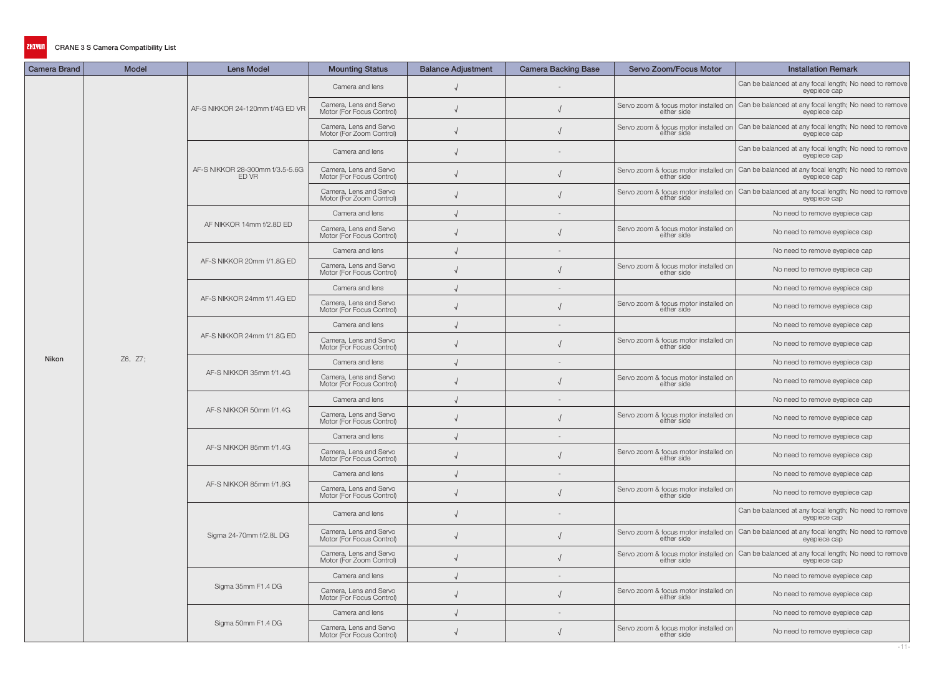| <b>Camera Brand</b> | <b>Model</b> | <b>Lens Model</b>                        | <b>Mounting Status</b>                              | <b>Balance Adjustment</b> | <b>Camera Backing Base</b> | Servo Zoom/Focus Motor                               | <b>Installation Remark</b>                                                                                     |
|---------------------|--------------|------------------------------------------|-----------------------------------------------------|---------------------------|----------------------------|------------------------------------------------------|----------------------------------------------------------------------------------------------------------------|
|                     |              |                                          | Camera and lens                                     |                           |                            |                                                      | Can be balanced at any focal length; No need to remove<br>eyepiece cap                                         |
|                     |              | AF-S NIKKOR 24-120mm f/4G ED VR          | Camera, Lens and Servo<br>Motor (For Focus Control) |                           |                            | either side                                          | Servo zoom & focus motor installed on   Can be balanced at any focal length; No need to remove<br>eyepiece cap |
|                     |              |                                          | Camera, Lens and Servo<br>Motor (For Zoom Control)  |                           |                            | either side                                          | Servo zoom & focus motor installed on Can be balanced at any focal length; No need to remove<br>eyepiece cap   |
|                     |              |                                          | Camera and lens                                     |                           |                            |                                                      | Can be balanced at any focal length; No need to remove<br>eyepiece cap                                         |
|                     |              | AF-S NIKKOR 28-300mm f/3.5-5.6G<br>ED VR | Camera, Lens and Servo<br>Motor (For Focus Control) |                           |                            | either side                                          | Servo zoom & focus motor installed on   Can be balanced at any focal length; No need to remove<br>eyepiece cap |
|                     |              |                                          | Camera, Lens and Servo<br>Motor (For Zoom Control)  |                           |                            |                                                      | Servo zoom & focus motor installed on Can be balanced at any focal length; No need to remove<br>either side    |
|                     |              |                                          | Camera and lens                                     |                           |                            |                                                      | No need to remove eyepiece cap                                                                                 |
|                     |              | AF NIKKOR 14mm f/2.8D ED                 | Camera, Lens and Servo<br>Motor (For Focus Control) |                           |                            | Servo zoom & focus motor installed on<br>either side | No need to remove eyepiece cap                                                                                 |
|                     |              |                                          | Camera and lens                                     |                           |                            |                                                      | No need to remove eyepiece cap                                                                                 |
|                     |              | AF-S NIKKOR 20mm f/1.8G ED               | Camera, Lens and Servo<br>Motor (For Focus Control) |                           |                            | Servo zoom & focus motor installed on<br>either side | No need to remove eyepiece cap                                                                                 |
|                     |              |                                          | Camera and lens                                     |                           |                            |                                                      | No need to remove eyepiece cap                                                                                 |
|                     |              | AF-S NIKKOR 24mm f/1.4G ED               | Camera, Lens and Servo<br>Motor (For Focus Control) |                           |                            | Servo zoom & focus motor installed on<br>either side | No need to remove eyepiece cap                                                                                 |
|                     |              |                                          | Camera and lens                                     |                           |                            |                                                      | No need to remove eyepiece cap                                                                                 |
|                     |              | AF-S NIKKOR 24mm f/1.8G ED               | Camera, Lens and Servo<br>Motor (For Focus Control) |                           |                            | Servo zoom & focus motor installed on<br>either side | No need to remove eyepiece cap                                                                                 |
| Nikon               | Z6, Z7;      | AF-S NIKKOR 35mm f/1.4G                  | Camera and lens                                     |                           |                            |                                                      | No need to remove eyepiece cap                                                                                 |
|                     |              |                                          | Camera, Lens and Servo<br>Motor (For Focus Control) |                           |                            | Servo zoom & focus motor installed on<br>either side | No need to remove eyepiece cap                                                                                 |
|                     |              | AF-S NIKKOR 50mm f/1.4G                  | Camera and lens                                     |                           |                            |                                                      | No need to remove eyepiece cap                                                                                 |
|                     |              |                                          | Camera, Lens and Servo<br>Motor (For Focus Control) |                           |                            | Servo zoom & focus motor installed on<br>either side | No need to remove eyepiece cap                                                                                 |
|                     |              |                                          | Camera and lens                                     |                           |                            |                                                      | No need to remove eyepiece cap                                                                                 |
|                     |              | AF-S NIKKOR 85mm f/1.4G                  | Camera, Lens and Servo<br>Motor (For Focus Control) |                           |                            | Servo zoom & focus motor installed on<br>either side | No need to remove eyepiece cap                                                                                 |
|                     |              |                                          | Camera and lens                                     |                           |                            |                                                      | No need to remove eyepiece cap                                                                                 |
|                     |              | AF-S NIKKOR 85mm f/1.8G                  | Camera, Lens and Servo<br>Motor (For Focus Control) |                           |                            | Servo zoom & focus motor installed on<br>either side | No need to remove eyepiece cap                                                                                 |
|                     |              |                                          | Camera and lens                                     |                           |                            |                                                      | Can be balanced at any focal length; No need to remove<br>eyepiece cap                                         |
|                     |              | Sigma 24-70mm f/2.8L DG                  | Camera, Lens and Servo<br>Motor (For Focus Control) |                           |                            | Servo zoom & focus motor installed on<br>either side | Can be balanced at any focal length; No need to remove<br>evepiece cap                                         |
|                     |              |                                          | Camera, Lens and Servo<br>Motor (For Zoom Control)  |                           |                            | either side                                          | Servo zoom & focus motor installed on Can be balanced at any focal length; No need to remove<br>eyepiece cap   |
|                     |              |                                          | Camera and lens                                     |                           |                            |                                                      | No need to remove eyepiece cap                                                                                 |
|                     |              | Sigma 35mm F1.4 DG                       | Camera, Lens and Servo<br>Motor (For Focus Control) |                           |                            | Servo zoom & focus motor installed on<br>either side | No need to remove eyepiece cap                                                                                 |
|                     |              |                                          | Camera and lens                                     |                           |                            |                                                      | No need to remove eyepiece cap                                                                                 |
|                     |              | Sigma 50mm F1.4 DG                       | Camera, Lens and Servo<br>Motor (For Focus Control) |                           |                            | Servo zoom & focus motor installed on<br>either side | No need to remove eyepiece cap                                                                                 |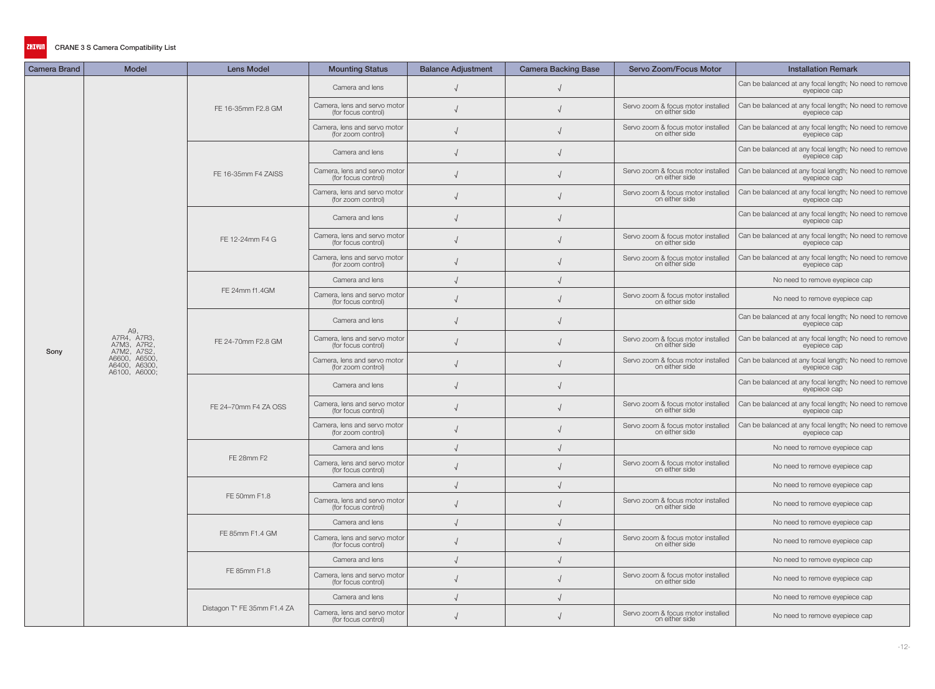| <b>Camera Brand</b> | Model                                                                                        | <b>Lens Model</b>           | <b>Mounting Status</b>                              | <b>Balance Adjustment</b> | <b>Camera Backing Base</b> | Servo Zoom/Focus Motor                               | <b>Installation Remark</b>                                             |
|---------------------|----------------------------------------------------------------------------------------------|-----------------------------|-----------------------------------------------------|---------------------------|----------------------------|------------------------------------------------------|------------------------------------------------------------------------|
|                     |                                                                                              |                             | Camera and lens                                     |                           |                            |                                                      | Can be balanced at any focal length; No need to remove<br>eyepiece cap |
|                     |                                                                                              | FE 16-35mm F2.8 GM          | Camera, lens and servo motor<br>(for focus control) |                           |                            | Servo zoom & focus motor installed<br>on either side | Can be balanced at any focal length; No need to remove<br>eyepiece cap |
|                     |                                                                                              |                             | Camera, lens and servo motor<br>(for zoom control)  |                           |                            | Servo zoom & focus motor installed<br>on either side | Can be balanced at any focal length; No need to remove<br>eyepiece cap |
|                     |                                                                                              |                             | Camera and lens                                     |                           |                            |                                                      | Can be balanced at any focal length; No need to remove<br>eyepiece cap |
|                     |                                                                                              | FE 16-35mm F4 ZAISS         | Camera, lens and servo motor<br>(for focus control) |                           |                            | Servo zoom & focus motor installed<br>on either side | Can be balanced at any focal length; No need to remove<br>eyepiece cap |
|                     |                                                                                              |                             | Camera, lens and servo motor<br>(for zoom control)  |                           |                            | Servo zoom & focus motor installed<br>on either side | Can be balanced at any focal length; No need to remove<br>eyepiece cap |
|                     |                                                                                              |                             | Camera and lens                                     |                           |                            |                                                      | Can be balanced at any focal length; No need to remove<br>eyepiece cap |
|                     |                                                                                              | FE 12-24mm F4 G             | Camera, lens and servo motor<br>(for focus control) |                           |                            | Servo zoom & focus motor installed<br>on either side | Can be balanced at any focal length; No need to remove<br>eyepiece cap |
|                     |                                                                                              |                             | Camera, lens and servo motor<br>(for zoom control)  |                           |                            | Servo zoom & focus motor installed<br>on either side | Can be balanced at any focal length; No need to remove<br>eyepiece cap |
|                     |                                                                                              |                             | Camera and lens                                     |                           |                            |                                                      | No need to remove eyepiece cap                                         |
|                     |                                                                                              | FE 24mm f1.4GM              | Camera, lens and servo motor<br>(for focus control) |                           |                            | Servo zoom & focus motor installed<br>on either side | No need to remove eyepiece cap                                         |
|                     | A9,                                                                                          | FE 24-70mm F2.8 GM          | Camera and lens                                     |                           |                            |                                                      | Can be balanced at any focal length; No need to remove<br>eyepiece cap |
| Sony                | A7R4, A7R3,<br>A7M3, A7R2,<br>A7M2, A7S2,<br>A6600, A6500,<br>A6400, A6300,<br>A6100, A6000; |                             | Camera, lens and servo motor<br>(for focus control) |                           |                            | Servo zoom & focus motor installed<br>on either side | Can be balanced at any focal length; No need to remove<br>eyepiece cap |
|                     |                                                                                              |                             | Camera, lens and servo motor<br>(for zoom control)  |                           |                            | Servo zoom & focus motor installed<br>on either side | Can be balanced at any focal length; No need to remove<br>eyepiece cap |
|                     |                                                                                              | FE 24-70mm F4 ZA OSS        | Camera and lens                                     |                           |                            |                                                      | Can be balanced at any focal length; No need to remove<br>eyepiece cap |
|                     |                                                                                              |                             | Camera, lens and servo motor<br>(for focus control) |                           |                            | Servo zoom & focus motor installed<br>on either side | Can be balanced at any focal length; No need to remove<br>eyepiece cap |
|                     |                                                                                              |                             | Camera, lens and servo motor<br>(for zoom control)  |                           |                            | Servo zoom & focus motor installed<br>on either side | Can be balanced at any focal length; No need to remove<br>eyepiece cap |
|                     |                                                                                              |                             | Camera and lens                                     |                           |                            |                                                      | No need to remove eyepiece cap                                         |
|                     |                                                                                              | FE 28mm F2                  | Camera, lens and servo motor<br>(for focus control) |                           |                            | Servo zoom & focus motor installed<br>on either side | No need to remove eyepiece cap                                         |
|                     |                                                                                              |                             | Camera and lens                                     |                           |                            |                                                      | No need to remove eyepiece cap                                         |
|                     |                                                                                              | FE 50mm F1.8                | Camera, lens and servo motor<br>(for focus control) |                           |                            | Servo zoom & focus motor installed<br>on either side | No need to remove eyepiece cap                                         |
|                     |                                                                                              |                             | Camera and lens                                     |                           |                            |                                                      | No need to remove eyepiece cap                                         |
|                     |                                                                                              | FE 85mm F1.4 GM             | Camera, lens and servo motor<br>(for focus control) |                           |                            | Servo zoom & focus motor installed<br>on either side | No need to remove eyepiece cap                                         |
|                     |                                                                                              |                             | Camera and lens                                     |                           |                            |                                                      | No need to remove eyepiece cap                                         |
|                     |                                                                                              | FE 85mm F1.8                | Camera, lens and servo motor<br>(for focus control) |                           |                            | Servo zoom & focus motor installed<br>on either side | No need to remove eyepiece cap                                         |
|                     |                                                                                              |                             | Camera and lens                                     |                           |                            |                                                      | No need to remove eyepiece cap                                         |
|                     |                                                                                              | Distagon T* FE 35mm F1.4 ZA | Camera, lens and servo motor<br>(for focus control) |                           |                            | Servo zoom & focus motor installed<br>on either side | No need to remove eyepiece cap                                         |

-12-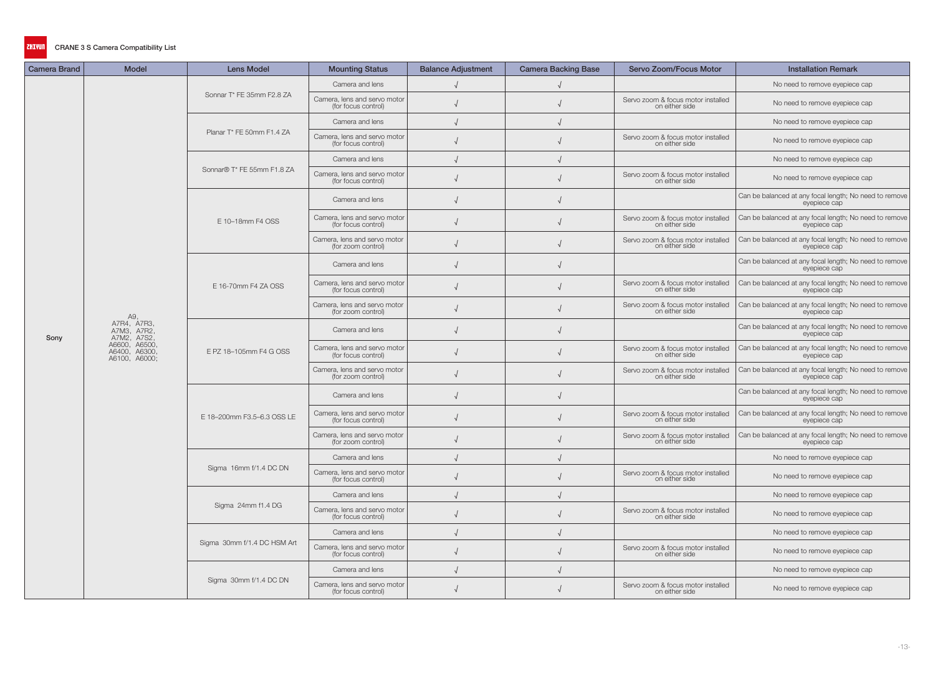| <b>Camera Brand</b> | Model                                                       | <b>Lens Model</b>           | <b>Mounting Status</b>                              | <b>Balance Adjustment</b> | <b>Camera Backing Base</b> | Servo Zoom/Focus Motor                               | <b>Installation Remark</b>                                             |
|---------------------|-------------------------------------------------------------|-----------------------------|-----------------------------------------------------|---------------------------|----------------------------|------------------------------------------------------|------------------------------------------------------------------------|
|                     |                                                             |                             | Camera and lens                                     |                           |                            |                                                      | No need to remove eyepiece cap                                         |
|                     |                                                             | Sonnar T* FE 35mm F2.8 ZA   | Camera, lens and servo motor<br>(for focus control) |                           |                            | Servo zoom & focus motor installed<br>on either side | No need to remove eyepiece cap                                         |
|                     |                                                             |                             | Camera and lens                                     |                           |                            |                                                      | No need to remove eyepiece cap                                         |
|                     |                                                             | Planar T* FE 50mm F1.4 ZA   | Camera, lens and servo motor<br>(for focus control) |                           |                            | Servo zoom & focus motor installed<br>on either side | No need to remove eyepiece cap                                         |
|                     |                                                             |                             | Camera and lens                                     |                           |                            |                                                      | No need to remove eyepiece cap                                         |
|                     |                                                             | Sonnar® T* FE 55mm F1.8 ZA  | Camera, lens and servo motor<br>(for focus control) |                           |                            | Servo zoom & focus motor installed<br>on either side | No need to remove eyepiece cap                                         |
|                     |                                                             |                             | Camera and lens                                     |                           |                            |                                                      | Can be balanced at any focal length; No need to remove<br>eyepiece cap |
|                     |                                                             | E 10-18mm F4 OSS            | Camera, lens and servo motor<br>(for focus control) |                           |                            | Servo zoom & focus motor installed<br>on either side | Can be balanced at any focal length; No need to remove<br>eyepiece cap |
|                     |                                                             |                             | Camera, lens and servo motor<br>(for zoom control)  |                           |                            | Servo zoom & focus motor installed<br>on either side | Can be balanced at any focal length; No need to remove<br>eyepiece cap |
|                     |                                                             |                             | Camera and lens                                     |                           |                            |                                                      | Can be balanced at any focal length; No need to remove<br>eyepiece cap |
|                     |                                                             | E 16-70mm F4 ZA OSS         | Camera, lens and servo motor<br>(for focus control) |                           |                            | Servo zoom & focus motor installed<br>on either side | Can be balanced at any focal length; No need to remove<br>eyepiece cap |
|                     |                                                             |                             | Camera, lens and servo motor<br>(for zoom control)  |                           |                            | Servo zoom & focus motor installed<br>on either side | Can be balanced at any focal length; No need to remove<br>eyepiece cap |
| Sony                | , A9<br>, A7R4, A7R3<br>A7M3, A7R2,                         |                             | Camera and lens                                     |                           |                            |                                                      | Can be balanced at any focal length; No need to remove<br>eyepiece cap |
|                     | A7M2, A7S2,<br>A7M2, A7S2,<br>A6400, A6300<br>A6100, A6000; | E PZ 18-105mm F4 G OSS      | Camera, lens and servo motor<br>(for focus control) |                           |                            | Servo zoom & focus motor installed<br>on either side | Can be balanced at any focal length; No need to remove<br>eyepiece cap |
|                     |                                                             |                             | Camera, lens and servo motor<br>(for zoom control)  |                           |                            | Servo zoom & focus motor installed<br>on either side | Can be balanced at any focal length; No need to remove<br>eyepiece cap |
|                     |                                                             |                             | Camera and lens                                     |                           |                            |                                                      | Can be balanced at any focal length; No need to remove<br>eyepiece cap |
|                     |                                                             | E 18-200mm F3.5-6.3 OSS LE  | Camera, lens and servo motor<br>(for focus control) |                           |                            | Servo zoom & focus motor installed<br>on either side | Can be balanced at any focal length; No need to remove<br>eyepiece cap |
|                     |                                                             |                             | Camera, lens and servo motor<br>(for zoom control)  |                           |                            | Servo zoom & focus motor installed<br>on either side | Can be balanced at any focal length; No need to remove<br>eyepiece cap |
|                     |                                                             |                             | Camera and lens                                     |                           |                            |                                                      | No need to remove eyepiece cap                                         |
|                     |                                                             | Sigma 16mm f/1.4 DC DN      | Camera, lens and servo motor<br>(for focus control) |                           |                            | Servo zoom & focus motor installed<br>on either side | No need to remove eyepiece cap                                         |
|                     |                                                             |                             | Camera and lens                                     |                           |                            |                                                      | No need to remove eyepiece cap                                         |
|                     |                                                             | Sigma 24mm f1.4 DG          | Camera, lens and servo motor<br>(for focus control) |                           |                            | Servo zoom & focus motor installed<br>on either side | No need to remove eyepiece cap                                         |
|                     |                                                             |                             | Camera and lens                                     |                           |                            |                                                      | No need to remove eyepiece cap                                         |
|                     |                                                             | Sigma 30mm f/1.4 DC HSM Art | Camera, lens and servo motor<br>(for focus control) |                           |                            | Servo zoom & focus motor installed<br>on either side | No need to remove eyepiece cap                                         |
|                     |                                                             |                             | Camera and lens                                     |                           |                            |                                                      | No need to remove eyepiece cap                                         |
|                     |                                                             | Sigma 30mm f/1.4 DC DN      | Camera, lens and servo motor<br>(for focus control) |                           |                            | Servo zoom & focus motor installed<br>on either side | No need to remove eyepiece cap                                         |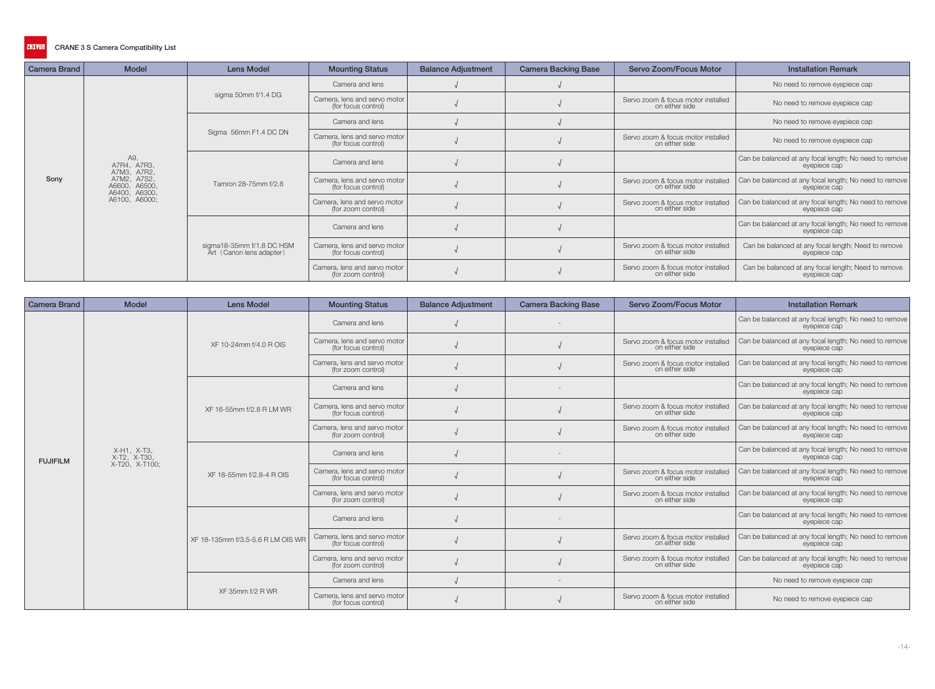| <b>Camera Brand</b> | <b>Model</b>                                  | <b>Lens Model</b>                                     | <b>Mounting Status</b>                              | <b>Balance Adjustment</b> | <b>Camera Backing Base</b> | Servo Zoom/Focus Motor                               | <b>Installation Remark</b>                                             |
|---------------------|-----------------------------------------------|-------------------------------------------------------|-----------------------------------------------------|---------------------------|----------------------------|------------------------------------------------------|------------------------------------------------------------------------|
|                     |                                               | sigma 50mm f/1.4 DG                                   | Camera and lens                                     |                           |                            |                                                      | No need to remove eyepiece cap                                         |
|                     |                                               |                                                       | Camera, lens and servo motor<br>(for focus control) |                           |                            | Servo zoom & focus motor installed<br>on either side | No need to remove eyepiece cap                                         |
|                     |                                               |                                                       | Camera and lens                                     |                           |                            |                                                      | No need to remove eyepiece cap                                         |
|                     |                                               | Sigma 56mm F1.4 DC DN                                 | Camera, lens and servo motor<br>(for focus control) |                           |                            | Servo zoom & focus motor installed<br>on either side | No need to remove eyepiece cap                                         |
|                     | A9,<br>A7R4, A7R3,<br>A7M3, A7R2,             | Tamron 28-75mm f/2.8                                  | Camera and lens                                     |                           |                            |                                                      | Can be balanced at any focal length; No need to remove<br>eyepiece cap |
| Sony                | A7M2, A7S2,<br>A6600, A6500,<br>A6400, A6300, |                                                       | Camera, lens and servo motor<br>(for focus control) |                           |                            | Servo zoom & focus motor installed<br>on either side | Can be balanced at any focal length; No need to remove<br>eyepiece cap |
|                     | A6100, A6000;                                 |                                                       | Camera, lens and servo motor<br>(for zoom control)  |                           |                            | Servo zoom & focus motor installed<br>on either side | Can be balanced at any focal length; No need to remove<br>eyepiece cap |
|                     |                                               | sigma18-35mm f/1.8 DC HSM<br>Art (Canon lens adapter) | Camera and lens                                     |                           |                            |                                                      | Can be balanced at any focal length; No need to remove<br>eyepiece cap |
|                     |                                               |                                                       | Camera, lens and servo motor<br>(for focus control) |                           |                            | Servo zoom & focus motor installed<br>on either side | Can be balanced at any focal length; Need to remove<br>eyepiece cap    |
|                     |                                               |                                                       | Camera, lens and servo motor<br>(for zoom control)  |                           |                            | Servo zoom & focus motor installed<br>on either side | Can be balanced at any focal length; Need to remove<br>eyepiece cap    |

| <b>Camera Brand</b> | <b>Model</b>                | <b>Lens Model</b>                 | <b>Mounting Status</b>                              | <b>Balance Adjustment</b> | <b>Camera Backing Base</b> | Servo Zoom/Focus Motor                               | <b>Installation Remark</b>                                             |
|---------------------|-----------------------------|-----------------------------------|-----------------------------------------------------|---------------------------|----------------------------|------------------------------------------------------|------------------------------------------------------------------------|
|                     |                             |                                   | Camera and lens                                     |                           |                            |                                                      | Can be balanced at any focal length; No need to remove<br>eyepiece cap |
|                     |                             | XF 10-24mm f/4.0 R OIS            | Camera, lens and servo motor<br>(for focus control) |                           |                            | Servo zoom & focus motor installed<br>on either side | Can be balanced at any focal length; No need to remove<br>eyepiece cap |
|                     |                             |                                   | Camera, lens and servo motor<br>(for zoom control)  |                           |                            | Servo zoom & focus motor installed<br>on either side | Can be balanced at any focal length; No need to remove<br>eyepiece cap |
|                     |                             |                                   | Camera and lens                                     |                           |                            |                                                      | Can be balanced at any focal length; No need to remove<br>eyepiece cap |
|                     |                             | XF 16-55mm f/2.8 R LM WR          | Camera, lens and servo motor<br>(for focus control) |                           |                            | Servo zoom & focus motor installed<br>on either side | Can be balanced at any focal length; No need to remove<br>eyepiece cap |
|                     |                             |                                   | Camera, lens and servo motor<br>(for zoom control)  |                           |                            | Servo zoom & focus motor installed<br>on either side | Can be balanced at any focal length; No need to remove<br>eyepiece cap |
| <b>FUJIFILM</b>     | X-H1, X-T3,<br>X-T2, X-T30, |                                   | Camera and lens                                     |                           |                            |                                                      | Can be balanced at any focal length; No need to remove<br>eyepiece cap |
|                     | X-T20, X-T100;              | XF 18-55mm f/2.8-4 R OIS          | Camera, lens and servo motor<br>(for focus control) |                           |                            | Servo zoom & focus motor installed<br>on either side | Can be balanced at any focal length; No need to remove<br>eyepiece cap |
|                     |                             |                                   | Camera, lens and servo motor<br>(for zoom control)  |                           |                            | Servo zoom & focus motor installed<br>on either side | Can be balanced at any focal length; No need to remove<br>eyepiece cap |
|                     |                             |                                   | Camera and lens                                     |                           |                            |                                                      | Can be balanced at any focal length; No need to remove<br>eyepiece cap |
|                     |                             | XF 18-135mm f/3.5-5.6 R LM OIS WR | Camera, lens and servo motor<br>(for focus control) |                           |                            | Servo zoom & focus motor installed<br>on either side | Can be balanced at any focal length; No need to remove<br>eyepiece cap |
|                     |                             |                                   | Camera, lens and servo motor<br>(for zoom control)  |                           |                            | Servo zoom & focus motor installed<br>on either side | Can be balanced at any focal length; No need to remove<br>evepiece cap |
|                     |                             |                                   | Camera and lens                                     |                           |                            |                                                      | No need to remove eyepiece cap                                         |
|                     |                             | XF 35mm f/2 R WR                  | Camera, lens and servo motor<br>(for focus control) |                           |                            | Servo zoom & focus motor installed<br>on either side | No need to remove eyepiece cap                                         |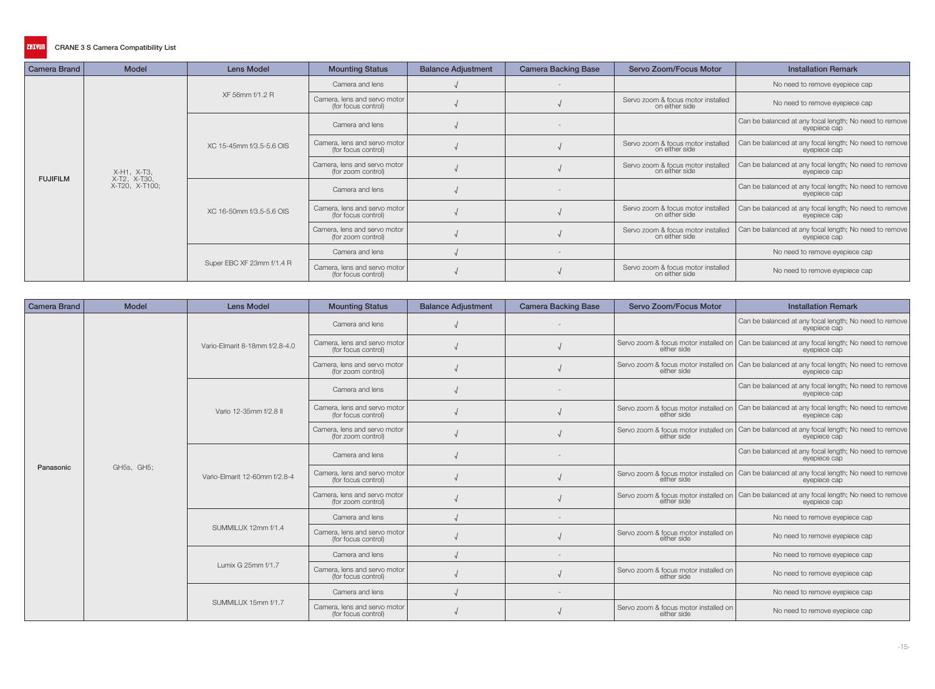| <b>Camera Brand</b> | <b>Model</b>                | <b>Lens Model</b>         | <b>Mounting Status</b>                              | <b>Balance Adjustment</b> | <b>Camera Backing Base</b> | Servo Zoom/Focus Motor                               | <b>Installation Remark</b>                                             |
|---------------------|-----------------------------|---------------------------|-----------------------------------------------------|---------------------------|----------------------------|------------------------------------------------------|------------------------------------------------------------------------|
|                     |                             | XF 56mm f/1.2 R           | Camera and lens                                     |                           |                            |                                                      | No need to remove eyepiece cap                                         |
|                     |                             |                           | Camera, lens and servo motor<br>(for focus control) |                           |                            | Servo zoom & focus motor installed<br>on either side | No need to remove eyepiece cap                                         |
|                     |                             |                           | Camera and lens                                     |                           |                            |                                                      | Can be balanced at any focal length; No need to remove<br>eyepiece cap |
|                     |                             | XC 15-45mm f/3.5-5.6 OIS  | Camera, lens and servo motor<br>(for focus control) |                           |                            | Servo zoom & focus motor installed<br>on either side | Can be balanced at any focal length; No need to remove<br>eyepiece cap |
| <b>FUJIFILM</b>     | X-H1, X-T3,<br>X-T2, X-T30, |                           | Camera, lens and servo motor<br>(for zoom control)  |                           |                            | Servo zoom & focus motor installed<br>on either side | Can be balanced at any focal length; No need to remove<br>eyepiece cap |
|                     | X-T20, X-T100;              | XC 16-50mm f/3.5-5.6 OIS  | Camera and lens                                     |                           |                            |                                                      | Can be balanced at any focal length; No need to remove<br>eyepiece cap |
|                     |                             |                           | Camera, lens and servo motor<br>(for focus control) |                           |                            | Servo zoom & focus motor installed<br>on either side | Can be balanced at any focal length; No need to remove<br>eyepiece cap |
|                     |                             |                           | Camera, lens and servo motor<br>(for zoom control)  |                           |                            | Servo zoom & focus motor installed<br>on either side | Can be balanced at any focal length; No need to remove<br>eyepiece cap |
|                     |                             | Super EBC XF 23mm f/1.4 R | Camera and lens                                     |                           |                            |                                                      | No need to remove eyepiece cap                                         |
|                     |                             |                           | Camera, lens and servo motor<br>(for focus control) |                           |                            | Servo zoom & focus motor installed<br>on either side | No need to remove eyepiece cap                                         |

| <b>Camera Brand</b> | <b>Model</b> | <b>Lens Model</b>              | <b>Mounting Status</b>                              | <b>Balance Adjustment</b> | <b>Camera Backing Base</b> | Servo Zoom/Focus Motor                               | <b>Installation Remark</b>                                                                                       |
|---------------------|--------------|--------------------------------|-----------------------------------------------------|---------------------------|----------------------------|------------------------------------------------------|------------------------------------------------------------------------------------------------------------------|
|                     |              |                                | Camera and lens                                     |                           |                            |                                                      | Can be balanced at any focal length; No need to remove<br>eyepiece cap                                           |
|                     |              | Vario-Elmarit 8-18mm f/2.8-4.0 | Camera, lens and servo motor<br>(for focus control) |                           |                            | either side                                          | Servo zoom & focus motor installed on Can be balanced at any focal length; No need to remove<br>eyepiece cap     |
|                     |              |                                | Camera, lens and servo motor<br>(for zoom control)  |                           |                            | either side                                          | Servo zoom & focus motor installed on   Can be balanced at any focal length; No need to remove  <br>eyepiece cap |
|                     |              |                                | Camera and lens                                     |                           |                            |                                                      | Can be balanced at any focal length; No need to remove<br>evepiece cap                                           |
|                     |              | Vario 12-35mm f/2.8 II         | Camera, lens and servo motor<br>(for focus control) |                           |                            | either side                                          | Servo zoom & focus motor installed on Can be balanced at any focal length; No need to remove<br>eyepiece cap     |
|                     |              |                                | Camera, lens and servo motor<br>(for zoom control)  |                           |                            | either side                                          | Servo zoom & focus motor installed on Can be balanced at any focal length; No need to remove<br>eyepiece cap     |
|                     |              | Vario-Elmarit 12-60mm f/2.8-4  | Camera and lens                                     |                           |                            |                                                      | Can be balanced at any focal length; No need to remove<br>eyepiece cap                                           |
| Panasonic           | GH5s, GH5;   |                                | Camera, lens and servo motor<br>(for focus control) |                           |                            |                                                      | Servo zoom & focus motor installed on Can be balanced at any focal length; No need to remove                     |
|                     |              |                                | Camera, lens and servo motor<br>(for zoom control)  |                           |                            | either side                                          | Servo zoom & focus motor installed on   Can be balanced at any focal length; No need to remove  <br>eyepiece cap |
|                     |              |                                | Camera and lens                                     |                           |                            |                                                      | No need to remove eyepiece cap                                                                                   |
|                     |              | SUMMILUX 12mm f/1.4            | Camera, lens and servo motor<br>(for focus control) |                           |                            | Servo zoom & focus motor installed on<br>either side | No need to remove eyepiece cap                                                                                   |
|                     |              |                                | Camera and lens                                     |                           |                            |                                                      | No need to remove eyepiece cap                                                                                   |
|                     |              | Lumix G 25mm f/1.7             | Camera, lens and servo motor<br>(for focus control) |                           |                            | Servo zoom & focus motor installed on<br>either side | No need to remove eyepiece cap                                                                                   |
|                     |              | SUMMILUX 15mm f/1.7            | Camera and lens                                     |                           |                            |                                                      | No need to remove eyepiece cap                                                                                   |
|                     |              |                                | Camera, lens and servo motor<br>(for focus control) |                           |                            | Servo zoom & focus motor installed on<br>either side | No need to remove eyepiece cap                                                                                   |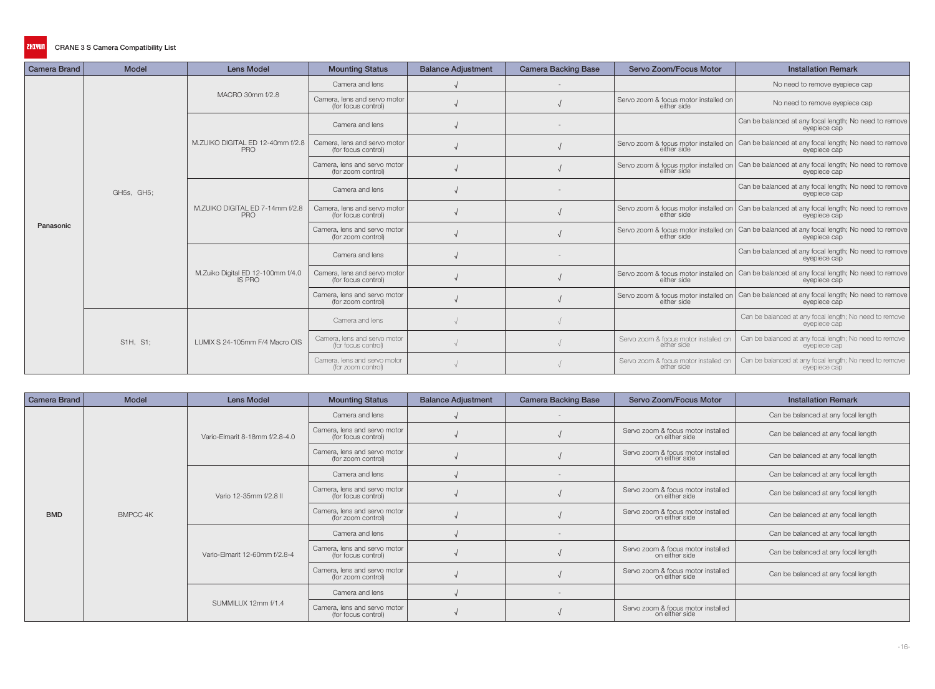| <b>Camera Brand</b> | <b>Model</b> | <b>Lens Model</b>                                  | <b>Mounting Status</b>                              | <b>Balance Adjustment</b> | <b>Camera Backing Base</b> | Servo Zoom/Focus Motor                               | <b>Installation Remark</b>                                                                                       |
|---------------------|--------------|----------------------------------------------------|-----------------------------------------------------|---------------------------|----------------------------|------------------------------------------------------|------------------------------------------------------------------------------------------------------------------|
|                     |              | MACRO 30mm f/2.8                                   | Camera and lens                                     |                           |                            |                                                      | No need to remove eyepiece cap                                                                                   |
|                     |              |                                                    | Camera, lens and servo motor<br>(for focus control) |                           |                            | Servo zoom & focus motor installed on<br>either side | No need to remove eyepiece cap                                                                                   |
|                     |              |                                                    | Camera and lens                                     |                           |                            |                                                      | Can be balanced at any focal length; No need to remove<br>eyepiece cap                                           |
|                     |              | M.ZUIKO DIGITAL ED 12-40mm f/2.8<br>PRO            | Camera, lens and servo motor<br>(for focus control) |                           |                            | either side                                          | Servo zoom & focus motor installed on Can be balanced at any focal length; No need to remove<br>eyepiece cap     |
|                     |              |                                                    | Camera, lens and servo motor<br>(for zoom control)  |                           |                            | either side                                          | Servo zoom & focus motor installed on   Can be balanced at any focal length; No need to remove  <br>evepiece cap |
|                     | GH5s, GH5;   | M.ZUIKO DIGITAL ED 7-14mm f/2.8<br><b>PRO</b>      | Camera and lens                                     |                           |                            |                                                      | Can be balanced at any focal length; No need to remove<br>eyepiece cap                                           |
|                     |              |                                                    | Camera, lens and servo motor<br>(for focus control) |                           |                            | either side                                          | Servo zoom & focus motor installed on Can be balanced at any focal length; No need to remove<br>eyepiece cap     |
| Panasonic           |              |                                                    | Camera, lens and servo motor<br>(for zoom control)  |                           |                            | either side                                          | Servo zoom & focus motor installed on   Can be balanced at any focal length; No need to remove  <br>eyepiece cap |
|                     |              | M.Zuiko Digital ED 12-100mm f/4.0<br><b>IS PRO</b> | Camera and lens                                     |                           |                            |                                                      | Can be balanced at any focal length; No need to remove<br>eyepiece cap                                           |
|                     |              |                                                    | Camera, lens and servo motor<br>(for focus control) |                           |                            | either side                                          | Servo zoom & focus motor installed on   Can be balanced at any focal length; No need to remove<br>eyepiece cap   |
|                     |              |                                                    | Camera, lens and servo motor<br>(for zoom control)  |                           |                            | either side                                          | Servo zoom & focus motor installed on Can be balanced at any focal length; No need to remove<br>eyepiece cap     |
|                     | S1H, S1:     | LUMIX S 24-105mm F/4 Macro OIS                     | Camera and lens                                     |                           |                            |                                                      | Can be balanced at any focal length; No need to remove<br>evepiece cap                                           |
|                     |              |                                                    | Camera, lens and servo motor<br>(for focus control) |                           |                            | Servo zoom & focus motor installed on<br>either side | Can be balanced at any focal length; No need to remove<br>eyepiece cap                                           |
|                     |              |                                                    | Camera, lens and servo motor<br>(for zoom control)  |                           |                            | Servo zoom & focus motor installed on<br>either side | Can be balanced at any focal length; No need to remove<br>eyepiece cap                                           |

| <b>Camera Brand</b> | <b>Model</b> | <b>Lens Model</b>              | <b>Mounting Status</b>                              | <b>Balance Adjustment</b> | <b>Camera Backing Base</b> | <b>Servo Zoom/Focus Motor</b>                        | <b>Installation Remark</b>          |
|---------------------|--------------|--------------------------------|-----------------------------------------------------|---------------------------|----------------------------|------------------------------------------------------|-------------------------------------|
|                     |              |                                | Camera and lens                                     |                           |                            |                                                      | Can be balanced at any focal length |
|                     |              | Vario-Elmarit 8-18mm f/2.8-4.0 | Camera, lens and servo motor<br>(for focus control) |                           |                            | Servo zoom & focus motor installed<br>on either side | Can be balanced at any focal length |
|                     |              |                                | Camera, lens and servo motor<br>(for zoom control)  |                           |                            | Servo zoom & focus motor installed<br>on either side | Can be balanced at any focal length |
|                     |              |                                | Camera and lens                                     |                           |                            |                                                      | Can be balanced at any focal length |
|                     |              | Vario 12-35mm f/2.8 II         | Camera, lens and servo motor<br>(for focus control) |                           |                            | Servo zoom & focus motor installed<br>on either side | Can be balanced at any focal length |
| <b>BMD</b>          | BMPCC 4K     |                                | Camera, lens and servo motor<br>(for zoom control)  |                           |                            | Servo zoom & focus motor installed<br>on either side | Can be balanced at any focal length |
|                     |              | Vario-Elmarit 12-60mm f/2.8-4  | Camera and lens                                     |                           |                            |                                                      | Can be balanced at any focal length |
|                     |              |                                | Camera, lens and servo motor<br>(for focus control) |                           |                            | Servo zoom & focus motor installed<br>on either side | Can be balanced at any focal length |
|                     |              |                                | Camera, lens and servo motor<br>(for zoom control)  |                           |                            | Servo zoom & focus motor installed<br>on either side | Can be balanced at any focal length |
|                     |              | SUMMILUX 12mm f/1.4            | Camera and lens                                     |                           |                            |                                                      |                                     |
|                     |              |                                | Camera, lens and servo motor<br>(for focus control) |                           |                            | Servo zoom & focus motor installed<br>on either side |                                     |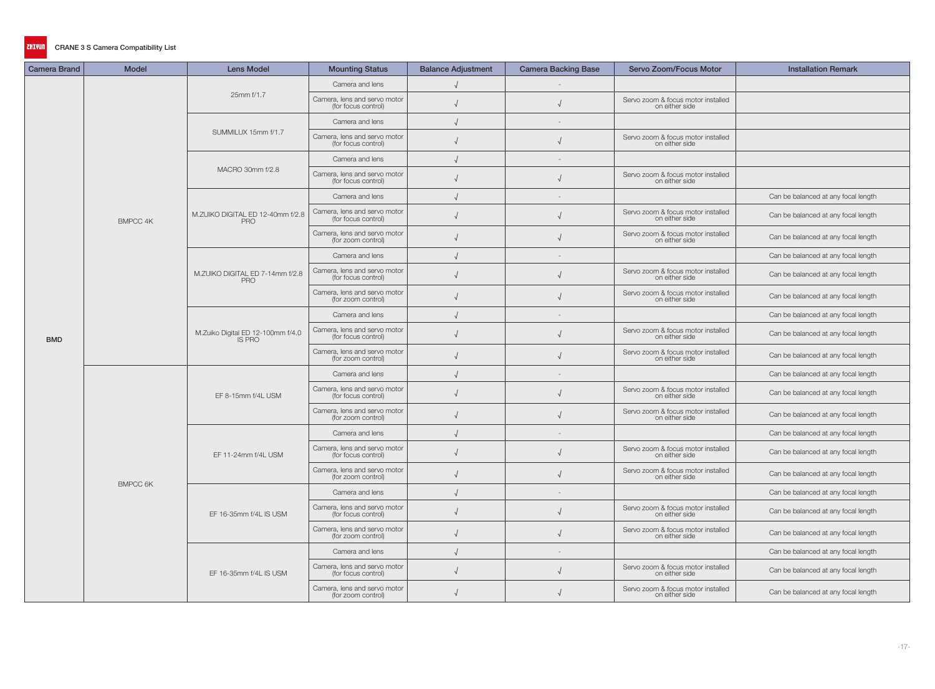| <b>Camera Brand</b> | <b>Model</b>    | <b>Lens Model</b>                                  | <b>Mounting Status</b>                              | <b>Balance Adjustment</b> | <b>Camera Backing Base</b> | Servo Zoom/Focus Motor                               | <b>Installation Remark</b>          |
|---------------------|-----------------|----------------------------------------------------|-----------------------------------------------------|---------------------------|----------------------------|------------------------------------------------------|-------------------------------------|
|                     |                 |                                                    | Camera and lens                                     |                           | $\overline{\phantom{a}}$   |                                                      |                                     |
|                     |                 | 25mm f/1.7                                         | Camera, lens and servo motor<br>(for focus control) |                           |                            | Servo zoom & focus motor installed<br>on either side |                                     |
|                     |                 |                                                    | Camera and lens                                     |                           |                            |                                                      |                                     |
|                     |                 | SUMMILUX 15mm f/1.7                                | Camera, lens and servo motor<br>(for focus control) |                           |                            | Servo zoom & focus motor installed<br>on either side |                                     |
|                     |                 |                                                    | Camera and lens                                     |                           |                            |                                                      |                                     |
|                     |                 | MACRO 30mm f/2.8                                   | Camera, lens and servo motor<br>(for focus control) |                           |                            | Servo zoom & focus motor installed<br>on either side |                                     |
|                     |                 |                                                    | Camera and lens                                     |                           |                            |                                                      | Can be balanced at any focal length |
|                     | <b>BMPCC 4K</b> | M.ZUIKO DIGITAL ED 12-40mm f/2.8<br><b>PRO</b>     | Camera, lens and servo motor<br>(for focus control) |                           |                            | Servo zoom & focus motor installed<br>on either side | Can be balanced at any focal length |
|                     |                 |                                                    | Camera, lens and servo motor<br>(for zoom control)  |                           |                            | Servo zoom & focus motor installed<br>on either side | Can be balanced at any focal length |
|                     |                 |                                                    | Camera and lens                                     |                           | $\overline{\phantom{a}}$   |                                                      | Can be balanced at any focal length |
|                     |                 | M.ZUIKO DIGITAL ED 7-14mm f/2.8<br><b>PRO</b>      | Camera, lens and servo motor<br>(for focus control) |                           |                            | Servo zoom & focus motor installed<br>on either side | Can be balanced at any focal length |
|                     |                 |                                                    | Camera, lens and servo motor<br>(for zoom control)  |                           |                            | Servo zoom & focus motor installed<br>on either side | Can be balanced at any focal length |
|                     |                 |                                                    | Camera and lens                                     |                           |                            |                                                      | Can be balanced at any focal length |
| <b>BMD</b>          |                 | M.Zuiko Digital ED 12-100mm f/4.0<br><b>IS PRO</b> | Camera, lens and servo motor<br>(for focus control) |                           |                            | Servo zoom & focus motor installed<br>on either side | Can be balanced at any focal length |
|                     |                 |                                                    | Camera, lens and servo motor<br>(for zoom control)  |                           |                            | Servo zoom & focus motor installed<br>on either side | Can be balanced at any focal length |
|                     |                 | EF 8-15mm f/4L USM                                 | Camera and lens                                     |                           |                            |                                                      | Can be balanced at any focal length |
|                     |                 |                                                    | Camera, lens and servo motor<br>(for focus control) |                           |                            | Servo zoom & focus motor installed<br>on either side | Can be balanced at any focal length |
|                     |                 |                                                    | Camera, lens and servo motor<br>(for zoom control)  |                           |                            | Servo zoom & focus motor installed<br>on either side | Can be balanced at any focal length |
|                     |                 |                                                    | Camera and lens                                     |                           | $\overline{\phantom{a}}$   |                                                      | Can be balanced at any focal length |
|                     |                 | EF 11-24mm f/4L USM                                | Camera, lens and servo motor<br>(for focus control) | $\sqrt{ }$                |                            | Servo zoom & focus motor installed<br>on either side | Can be balanced at any focal length |
|                     | <b>BMPCC 6K</b> |                                                    | Camera, lens and servo motor<br>(for zoom control)  |                           |                            | Servo zoom & focus motor installed<br>on either side | Can be balanced at any focal length |
|                     |                 |                                                    | Camera and lens                                     |                           |                            |                                                      | Can be balanced at any focal length |
|                     |                 | EF 16-35mm f/4L IS USM                             | Camera, lens and servo motor<br>(for focus control) |                           |                            | Servo zoom & focus motor installed<br>on either side | Can be balanced at any focal length |
|                     |                 |                                                    | Camera, lens and servo motor<br>(for zoom control)  |                           |                            | Servo zoom & focus motor installed<br>on either side | Can be balanced at any focal length |
|                     |                 |                                                    | Camera and lens                                     |                           | $\overline{\phantom{a}}$   |                                                      | Can be balanced at any focal length |
|                     |                 | EF 16-35mm f/4L IS USM                             | Camera, lens and servo motor<br>(for focus control) |                           |                            | Servo zoom & focus motor installed<br>on either side | Can be balanced at any focal length |
|                     |                 |                                                    | Camera, lens and servo motor<br>(for zoom control)  |                           |                            | Servo zoom & focus motor installed<br>on either side | Can be balanced at any focal length |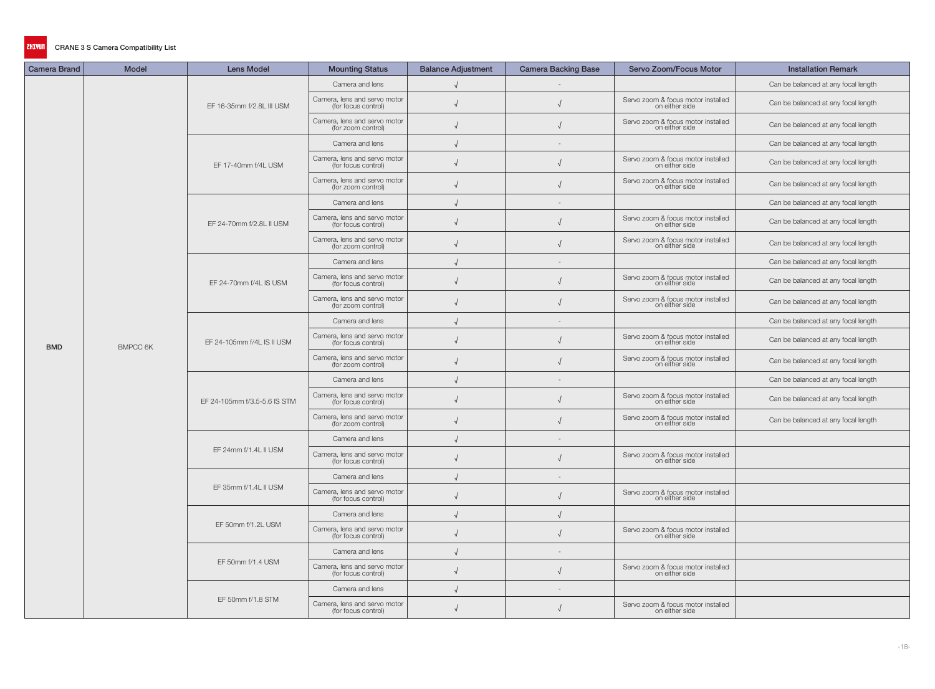| <b>Camera Brand</b> | <b>Model</b>    | <b>Lens Model</b>            | <b>Mounting Status</b>                              | <b>Balance Adjustment</b> | <b>Camera Backing Base</b> | <b>Servo Zoom/Focus Motor</b>                        | <b>Installation Remark</b>          |
|---------------------|-----------------|------------------------------|-----------------------------------------------------|---------------------------|----------------------------|------------------------------------------------------|-------------------------------------|
|                     |                 |                              | Camera and lens                                     |                           |                            |                                                      | Can be balanced at any focal length |
|                     |                 | EF 16-35mm f/2.8L III USM    | Camera, lens and servo motor<br>(for focus control) |                           |                            | Servo zoom & focus motor installed<br>on either side | Can be balanced at any focal length |
|                     |                 |                              | Camera, lens and servo motor<br>(for zoom control)  |                           |                            | Servo zoom & focus motor installed<br>on either side | Can be balanced at any focal length |
|                     |                 |                              | Camera and lens                                     |                           |                            |                                                      | Can be balanced at any focal length |
|                     |                 | EF 17-40mm f/4L USM          | Camera, lens and servo motor<br>(for focus control) |                           |                            | Servo zoom & focus motor installed<br>on either side | Can be balanced at any focal length |
|                     |                 |                              | Camera, lens and servo motor<br>(for zoom control)  |                           |                            | Servo zoom & focus motor installed<br>on either side | Can be balanced at any focal length |
|                     |                 |                              | Camera and lens                                     |                           |                            |                                                      | Can be balanced at any focal length |
|                     |                 | EF 24-70mm f/2.8L II USM     | Camera, lens and servo motor<br>(for focus control) |                           |                            | Servo zoom & focus motor installed<br>on either side | Can be balanced at any focal length |
|                     |                 |                              | Camera, lens and servo motor<br>(for zoom control)  |                           |                            | Servo zoom & focus motor installed<br>on either side | Can be balanced at any focal length |
|                     |                 |                              | Camera and lens                                     |                           |                            |                                                      | Can be balanced at any focal length |
|                     |                 | EF 24-70mm f/4L IS USM       | Camera, lens and servo motor<br>(for focus control) |                           |                            | Servo zoom & focus motor installed<br>on either side | Can be balanced at any focal length |
|                     |                 |                              | Camera, lens and servo motor<br>(for zoom control)  |                           |                            | Servo zoom & focus motor installed<br>on either side | Can be balanced at any focal length |
|                     |                 |                              | Camera and lens                                     |                           |                            |                                                      | Can be balanced at any focal length |
| <b>BMD</b>          | <b>BMPCC 6K</b> | EF 24-105mm f/4L IS II USM   | Camera, lens and servo motor<br>(for focus control) |                           |                            | Servo zoom & focus motor installed<br>on either side | Can be balanced at any focal length |
|                     |                 |                              | Camera, lens and servo motor<br>(for zoom control)  |                           |                            | Servo zoom & focus motor installed<br>on either side | Can be balanced at any focal length |
|                     |                 | EF 24-105mm f/3.5-5.6 IS STM | Camera and lens                                     |                           |                            |                                                      | Can be balanced at any focal length |
|                     |                 |                              | Camera, lens and servo motor<br>(for focus control) |                           |                            | Servo zoom & focus motor installed<br>on either side | Can be balanced at any focal length |
|                     |                 |                              | Camera, lens and servo motor<br>(for zoom control)  |                           |                            | Servo zoom & focus motor installed<br>on either side | Can be balanced at any focal length |
|                     |                 |                              | Camera and lens                                     |                           | $\overline{\phantom{a}}$   |                                                      |                                     |
|                     |                 | EF 24mm f/1.4L II USM        | Camera, lens and servo motor<br>(for focus control) |                           |                            | Servo zoom & focus motor installed<br>on either side |                                     |
|                     |                 |                              | Camera and lens                                     |                           |                            |                                                      |                                     |
|                     |                 | EF 35mm f/1.4L II USM        | Camera, lens and servo motor<br>(for focus control) |                           |                            | Servo zoom & focus motor installed<br>on either side |                                     |
|                     |                 |                              | Camera and lens                                     |                           |                            |                                                      |                                     |
|                     |                 | EF 50mm f/1.2L USM           | Camera, lens and servo motor<br>(for focus control) |                           |                            | Servo zoom & focus motor installed<br>on either side |                                     |
|                     |                 |                              | Camera and lens                                     |                           | $\overline{\phantom{a}}$   |                                                      |                                     |
|                     |                 | EF 50mm f/1.4 USM            | Camera, lens and servo motor<br>(for focus control) | $\sqrt{ }$                |                            | Servo zoom & focus motor installed<br>on either side |                                     |
|                     |                 |                              | Camera and lens                                     |                           | $\sim$                     |                                                      |                                     |
|                     |                 | EF 50mm f/1.8 STM            | Camera, lens and servo motor<br>(for focus control) | $\sqrt{ }$                |                            | Servo zoom & focus motor installed<br>on either side |                                     |